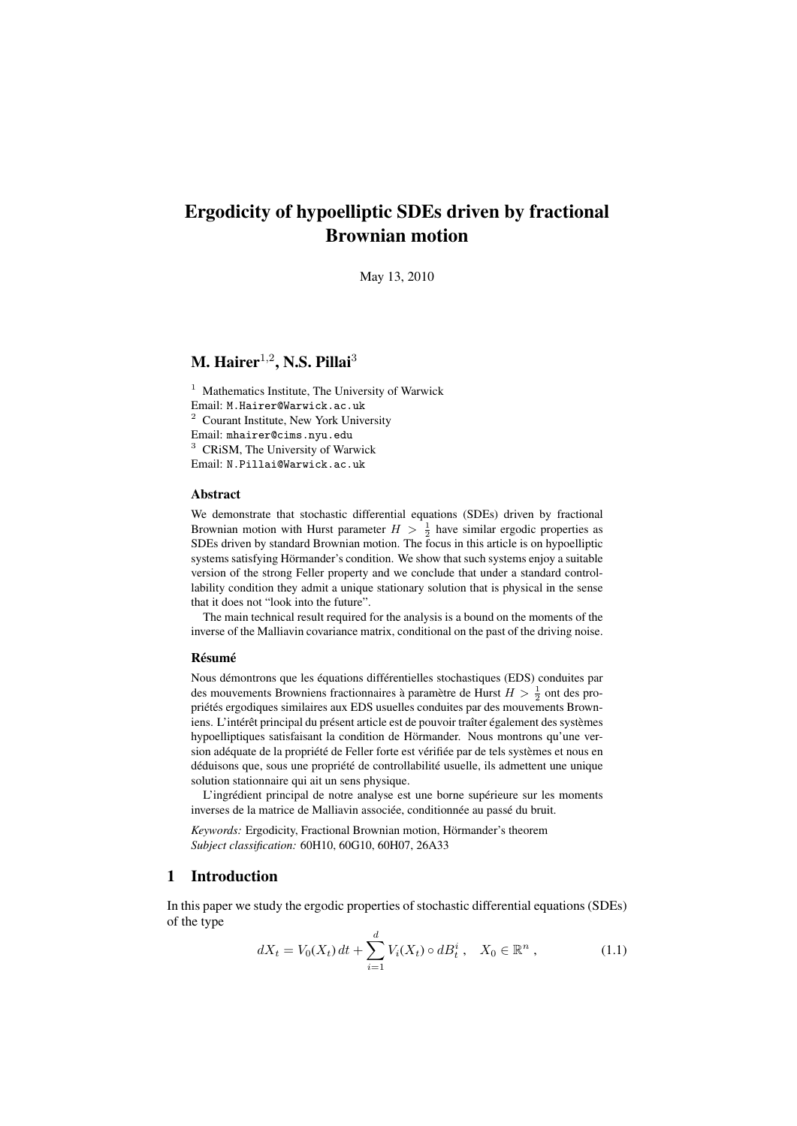# Ergodicity of hypoelliptic SDEs driven by fractional Brownian motion

May 13, 2010

## M. Hairer $^{1,2}$ , N.S. Pillai $^3$

 $1$  Mathematics Institute, The University of Warwick Email: M.Hairer@Warwick.ac.uk <sup>2</sup> Courant Institute, New York University Email: mhairer@cims.nyu.edu <sup>3</sup> CRiSM, The University of Warwick Email: N.Pillai@Warwick.ac.uk

## Abstract

We demonstrate that stochastic differential equations (SDEs) driven by fractional Brownian motion with Hurst parameter  $H > \frac{1}{2}$  have similar ergodic properties as SDEs driven by standard Brownian motion. The focus in this article is on hypoelliptic systems satisfying Hörmander's condition. We show that such systems enjoy a suitable version of the strong Feller property and we conclude that under a standard controllability condition they admit a unique stationary solution that is physical in the sense that it does not "look into the future".

The main technical result required for the analysis is a bound on the moments of the inverse of the Malliavin covariance matrix, conditional on the past of the driving noise.

#### Résumé

Nous démontrons que les équations différentielles stochastiques (EDS) conduites par des mouvements Browniens fractionnaires à paramètre de Hurst  $H > \frac{1}{2}$  ont des propriétés ergodiques similaires aux EDS usuelles conduites par des mouvements Browniens. L'intérêt principal du présent article est de pouvoir traîter également des systèmes hypoelliptiques satisfaisant la condition de Hörmander. Nous montrons qu'une version adéquate de la propriété de Feller forte est vérifiée par de tels systèmes et nous en déduisons que, sous une propriété de controllabilité usuelle, ils admettent une unique solution stationnaire qui ait un sens physique.

L'ingrédient principal de notre analyse est une borne supérieure sur les moments inverses de la matrice de Malliavin associée, conditionnée au passé du bruit.

*Keywords: Ergodicity, Fractional Brownian motion, Hörmander's theorem Subject classification:* 60H10, 60G10, 60H07, 26A33

## 1 Introduction

In this paper we study the ergodic properties of stochastic differential equations (SDEs) of the type

$$
dX_t = V_0(X_t) dt + \sum_{i=1}^d V_i(X_t) \circ dB_t^i, \quad X_0 \in \mathbb{R}^n ,
$$
 (1.1)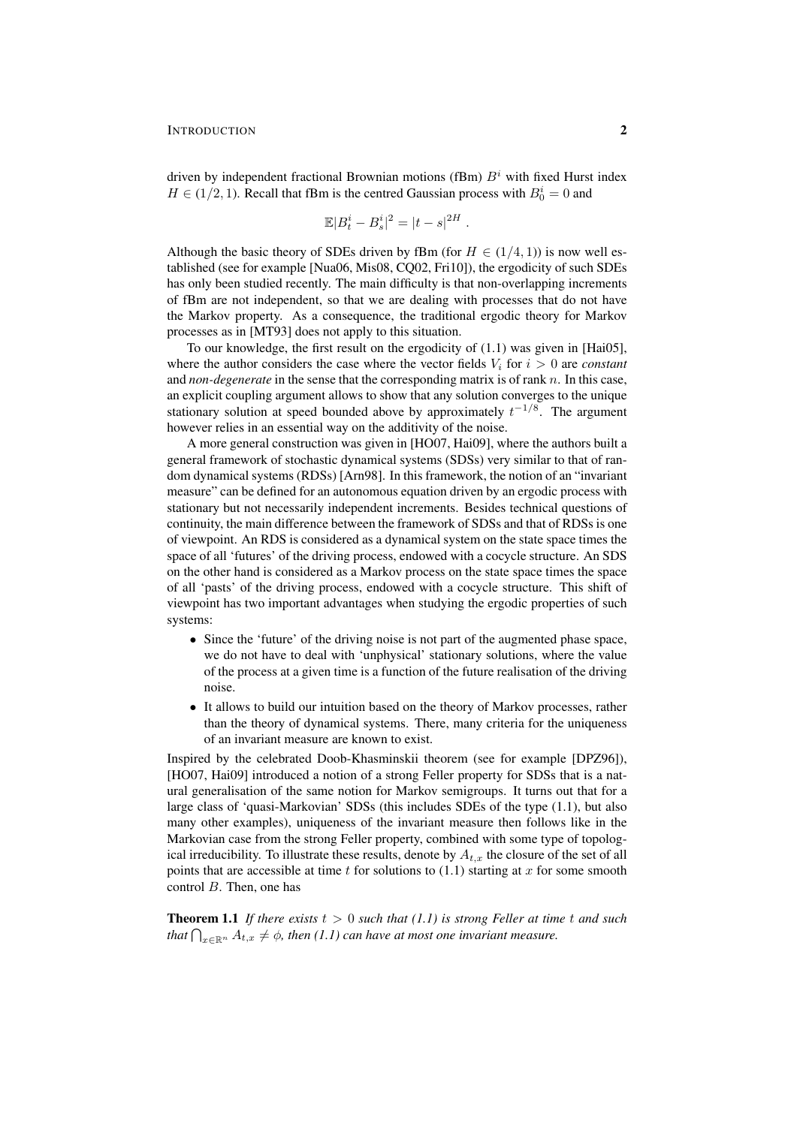driven by independent fractional Brownian motions (fBm)  $B<sup>i</sup>$  with fixed Hurst index  $H \in (1/2, 1)$ . Recall that fBm is the centred Gaussian process with  $B_0^i = 0$  and

$$
\mathbb{E}|B_t^i - B_s^i|^2 = |t - s|^{2H}.
$$

Although the basic theory of SDEs driven by fBm (for  $H \in (1/4, 1)$ ) is now well established (see for example [Nua06, Mis08, CQ02, Fri10]), the ergodicity of such SDEs has only been studied recently. The main difficulty is that non-overlapping increments of fBm are not independent, so that we are dealing with processes that do not have the Markov property. As a consequence, the traditional ergodic theory for Markov processes as in [MT93] does not apply to this situation.

To our knowledge, the first result on the ergodicity of (1.1) was given in [Hai05], where the author considers the case where the vector fields  $V_i$  for  $i > 0$  are *constant* and *non-degenerate* in the sense that the corresponding matrix is of rank n. In this case, an explicit coupling argument allows to show that any solution converges to the unique stationary solution at speed bounded above by approximately  $t^{-1/8}$ . The argument however relies in an essential way on the additivity of the noise.

A more general construction was given in [HO07, Hai09], where the authors built a general framework of stochastic dynamical systems (SDSs) very similar to that of random dynamical systems (RDSs) [Arn98]. In this framework, the notion of an "invariant measure" can be defined for an autonomous equation driven by an ergodic process with stationary but not necessarily independent increments. Besides technical questions of continuity, the main difference between the framework of SDSs and that of RDSs is one of viewpoint. An RDS is considered as a dynamical system on the state space times the space of all 'futures' of the driving process, endowed with a cocycle structure. An SDS on the other hand is considered as a Markov process on the state space times the space of all 'pasts' of the driving process, endowed with a cocycle structure. This shift of viewpoint has two important advantages when studying the ergodic properties of such systems:

- Since the 'future' of the driving noise is not part of the augmented phase space, we do not have to deal with 'unphysical' stationary solutions, where the value of the process at a given time is a function of the future realisation of the driving noise.
- It allows to build our intuition based on the theory of Markov processes, rather than the theory of dynamical systems. There, many criteria for the uniqueness of an invariant measure are known to exist.

Inspired by the celebrated Doob-Khasminskii theorem (see for example [DPZ96]), [HO07, Hai09] introduced a notion of a strong Feller property for SDSs that is a natural generalisation of the same notion for Markov semigroups. It turns out that for a large class of 'quasi-Markovian' SDSs (this includes SDEs of the type (1.1), but also many other examples), uniqueness of the invariant measure then follows like in the Markovian case from the strong Feller property, combined with some type of topological irreducibility. To illustrate these results, denote by  $A_{t,x}$  the closure of the set of all points that are accessible at time  $t$  for solutions to (1.1) starting at  $x$  for some smooth control  $B$ . Then, one has

**Theorem 1.1** If there exists  $t > 0$  such that (1.1) is strong Feller at time t and such that  $\bigcap_{x\in \mathbb{R}^n} A_{t,x} \neq \phi$ , then (1.1) can have at most one invariant measure.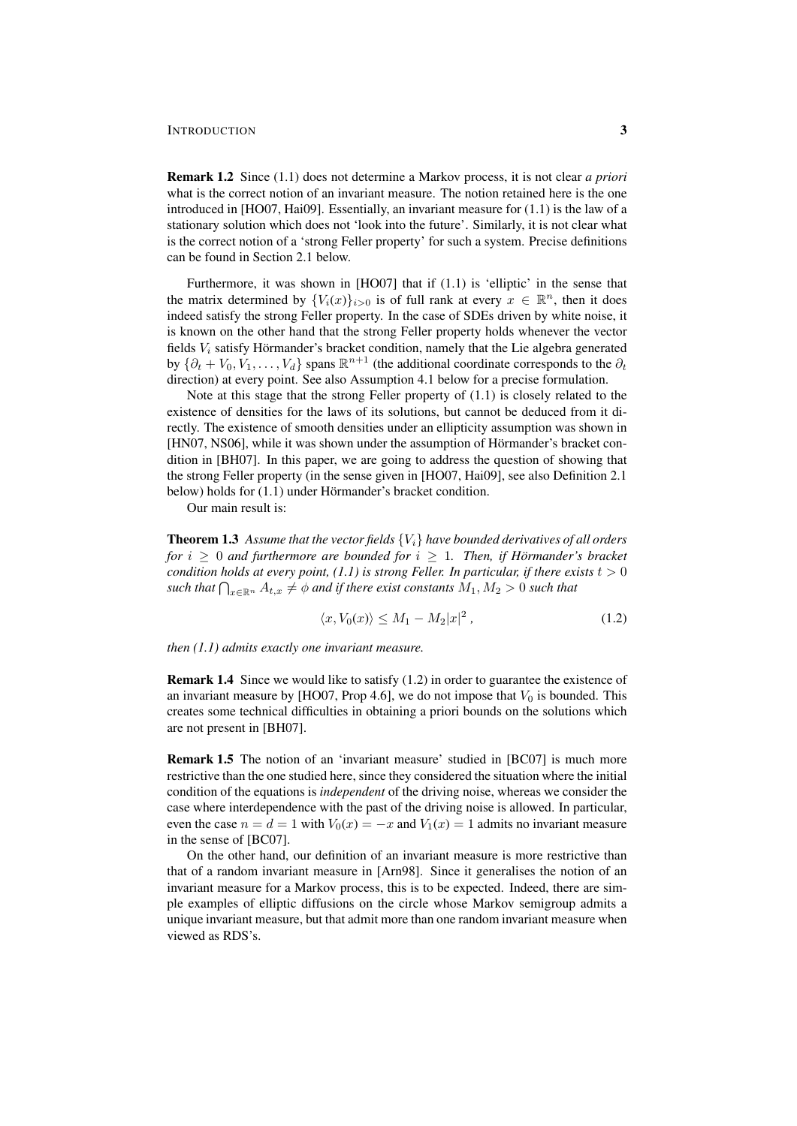Remark 1.2 Since (1.1) does not determine a Markov process, it is not clear *a priori* what is the correct notion of an invariant measure. The notion retained here is the one introduced in  $[HOO7, Hai09]$ . Essentially, an invariant measure for  $(1.1)$  is the law of a stationary solution which does not 'look into the future'. Similarly, it is not clear what is the correct notion of a 'strong Feller property' for such a system. Precise definitions can be found in Section 2.1 below.

Furthermore, it was shown in [HO07] that if (1.1) is 'elliptic' in the sense that the matrix determined by  $\{V_i(x)\}_{i>0}$  is of full rank at every  $x \in \mathbb{R}^n$ , then it does indeed satisfy the strong Feller property. In the case of SDEs driven by white noise, it is known on the other hand that the strong Feller property holds whenever the vector fields  $V_i$  satisfy Hörmander's bracket condition, namely that the Lie algebra generated by  $\{\partial_t + V_0, V_1, \ldots, V_d\}$  spans  $\mathbb{R}^{n+1}$  (the additional coordinate corresponds to the  $\partial_t$ direction) at every point. See also Assumption 4.1 below for a precise formulation.

Note at this stage that the strong Feller property of (1.1) is closely related to the existence of densities for the laws of its solutions, but cannot be deduced from it directly. The existence of smooth densities under an ellipticity assumption was shown in [HN07, NS06], while it was shown under the assumption of Hörmander's bracket condition in [BH07]. In this paper, we are going to address the question of showing that the strong Feller property (in the sense given in [HO07, Hai09], see also Definition 2.1 below) holds for  $(1.1)$  under Hörmander's bracket condition.

Our main result is:

Theorem 1.3 *Assume that the vector fields* {Vi} *have bounded derivatives of all orders for*  $i \geq 0$  *and furthermore are bounded for*  $i \geq 1$ *. Then, if Hörmander's bracket condition holds at every point, (1.1) is strong Feller. In particular, if there exists*  $t > 0$  $\mathit{such that} \bigcap_{x\in \mathbb{R}^n} A_{t,x} \neq \phi$  and if there exist constants  $M_1, M_2 > 0$  such that

$$
\langle x, V_0(x) \rangle \le M_1 - M_2 |x|^2 \,, \tag{1.2}
$$

*then (1.1) admits exactly one invariant measure.*

Remark 1.4 Since we would like to satisfy (1.2) in order to guarantee the existence of an invariant measure by [HO07, Prop 4.6], we do not impose that  $V_0$  is bounded. This creates some technical difficulties in obtaining a priori bounds on the solutions which are not present in [BH07].

Remark 1.5 The notion of an 'invariant measure' studied in [BC07] is much more restrictive than the one studied here, since they considered the situation where the initial condition of the equations is *independent* of the driving noise, whereas we consider the case where interdependence with the past of the driving noise is allowed. In particular, even the case  $n = d = 1$  with  $V_0(x) = -x$  and  $V_1(x) = 1$  admits no invariant measure in the sense of [BC07].

On the other hand, our definition of an invariant measure is more restrictive than that of a random invariant measure in [Arn98]. Since it generalises the notion of an invariant measure for a Markov process, this is to be expected. Indeed, there are simple examples of elliptic diffusions on the circle whose Markov semigroup admits a unique invariant measure, but that admit more than one random invariant measure when viewed as RDS's.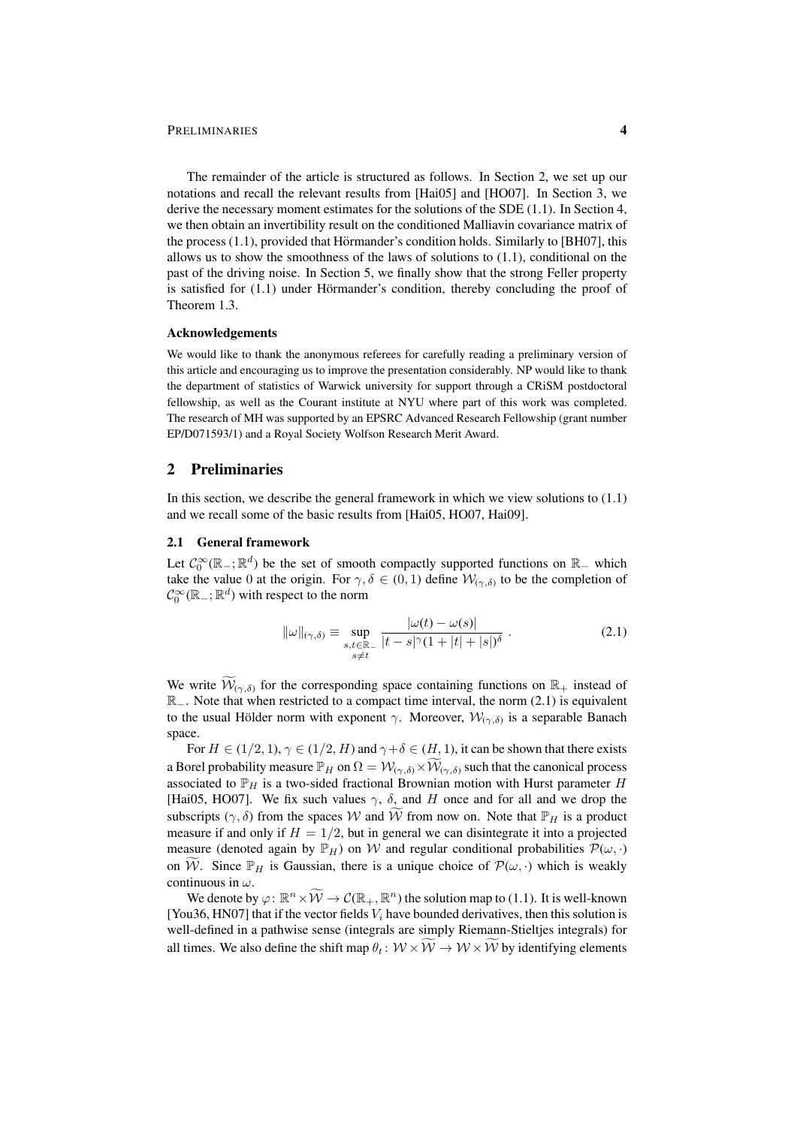The remainder of the article is structured as follows. In Section 2, we set up our notations and recall the relevant results from [Hai05] and [HO07]. In Section 3, we derive the necessary moment estimates for the solutions of the SDE (1.1). In Section 4, we then obtain an invertibility result on the conditioned Malliavin covariance matrix of the process  $(1.1)$ , provided that Hörmander's condition holds. Similarly to [BH07], this allows us to show the smoothness of the laws of solutions to  $(1.1)$ , conditional on the past of the driving noise. In Section 5, we finally show that the strong Feller property is satisfied for  $(1.1)$  under Hörmander's condition, thereby concluding the proof of Theorem 1.3.

## Acknowledgements

We would like to thank the anonymous referees for carefully reading a preliminary version of this article and encouraging us to improve the presentation considerably. NP would like to thank the department of statistics of Warwick university for support through a CRiSM postdoctoral fellowship, as well as the Courant institute at NYU where part of this work was completed. The research of MH was supported by an EPSRC Advanced Research Fellowship (grant number EP/D071593/1) and a Royal Society Wolfson Research Merit Award.

## 2 Preliminaries

In this section, we describe the general framework in which we view solutions to (1.1) and we recall some of the basic results from [Hai05, HO07, Hai09].

## 2.1 General framework

Let  $\mathcal{C}_0^{\infty}(\mathbb{R}_-;\mathbb{R}^d)$  be the set of smooth compactly supported functions on  $\mathbb{R}_-$  which take the value 0 at the origin. For  $\gamma, \delta \in (0,1)$  define  $\mathcal{W}_{(\gamma,\delta)}$  to be the completion of  $\mathcal{C}_0^{\infty}(\mathbb{R}_-;\mathbb{R}^d)$  with respect to the norm

$$
\|\omega\|_{(\gamma,\delta)} \equiv \sup_{\substack{s,t \in \mathbb{R}_- \\ s \neq t}} \frac{|\omega(t) - \omega(s)|}{|t - s|^\gamma (1 + |t| + |s|)^\delta} \,. \tag{2.1}
$$

We write  $\widetilde{\mathcal{W}}_{(\gamma,\delta)}$  for the corresponding space containing functions on  $\mathbb{R}_+$  instead of R−. Note that when restricted to a compact time interval, the norm (2.1) is equivalent to the usual Hölder norm with exponent  $\gamma$ . Moreover,  $\mathcal{W}_{(\gamma,\delta)}$  is a separable Banach space.

For  $H \in (1/2, 1), \gamma \in (1/2, H)$  and  $\gamma + \delta \in (H, 1)$ , it can be shown that there exists a Borel probability measure  $\mathbb{P}_H$  on  $\Omega = \mathcal{W}_{(\gamma,\delta)} \times \widetilde{\mathcal{W}}_{(\gamma,\delta)}$  such that the canonical process associated to  $\mathbb{P}_H$  is a two-sided fractional Brownian motion with Hurst parameter H [Hai05, HO07]. We fix such values  $\gamma$ ,  $\delta$ , and H once and for all and we drop the subscripts ( $\gamma$ ,  $\delta$ ) from the spaces W and  $\widetilde{W}$  from now on. Note that  $\mathbb{P}_H$  is a product measure if and only if  $H = 1/2$ , but in general we can disintegrate it into a projected measure (denoted again by  $\mathbb{P}_H$ ) on W and regular conditional probabilities  $\mathcal{P}(\omega, \cdot)$ on W. Since  $\mathbb{P}_H$  is Gaussian, there is a unique choice of  $\mathcal{P}(\omega, \cdot)$  which is weakly continuous in  $\omega$ .

We denote by  $\varphi: \mathbb{R}^n \times \widetilde{\mathcal{W}} \to \mathcal{C}(\mathbb{R}_+, \mathbb{R}^n)$  the solution map to (1.1). It is well-known [You36, HN07] that if the vector fields  $V_i$  have bounded derivatives, then this solution is well-defined in a pathwise sense (integrals are simply Riemann-Stieltjes integrals) for all times. We also define the shift map  $\theta_t$ :  $W \times \widetilde{W} \to W \times \widetilde{W}$  by identifying elements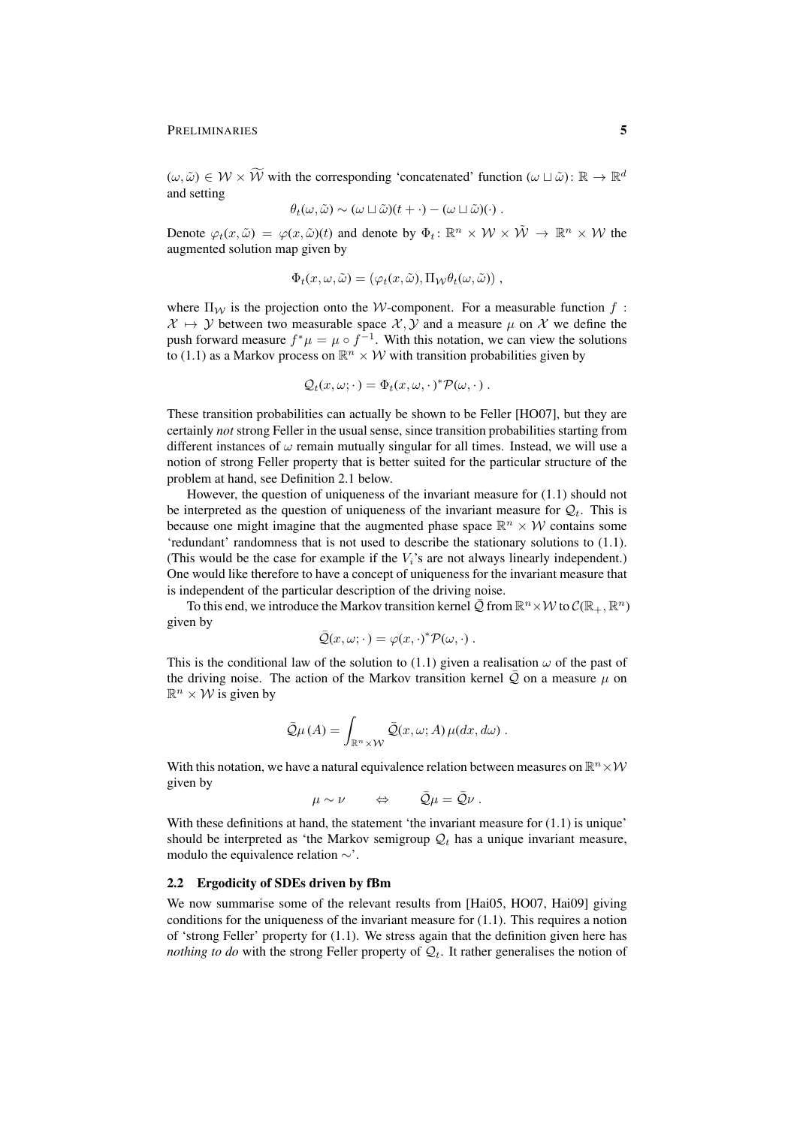$(\omega, \tilde{\omega}) \in W \times \widetilde{W}$  with the corresponding 'concatenated' function  $(\omega \sqcup \tilde{\omega}) \colon \mathbb{R} \to \mathbb{R}^d$ and setting

$$
\theta_t(\omega,\tilde{\omega}) \sim (\omega \sqcup \tilde{\omega})(t + \cdot) - (\omega \sqcup \tilde{\omega})(\cdot) .
$$

Denote  $\varphi_t(x,\tilde{\omega}) = \varphi(x,\tilde{\omega})(t)$  and denote by  $\Phi_t \colon \mathbb{R}^n \times \mathcal{W} \times \tilde{\mathcal{W}} \to \mathbb{R}^n \times \mathcal{W}$  the augmented solution map given by

$$
\Phi_t(x,\omega,\tilde{\omega}) = (\varphi_t(x,\tilde{\omega}), \Pi_{\mathcal{W}} \theta_t(\omega,\tilde{\omega})) ,
$$

where  $\Pi_{\mathcal{W}}$  is the projection onto the W-component. For a measurable function f:  $X \mapsto Y$  between two measurable space  $X, Y$  and a measure  $\mu$  on X we define the push forward measure  $f^*\mu = \mu \circ f^{-1}$ . With this notation, we can view the solutions to (1.1) as a Markov process on  $\mathbb{R}^n \times \mathcal{W}$  with transition probabilities given by

$$
Q_t(x,\omega;\cdot) = \Phi_t(x,\omega,\cdot)^* \mathcal{P}(\omega,\cdot) .
$$

These transition probabilities can actually be shown to be Feller [HO07], but they are certainly *not* strong Feller in the usual sense, since transition probabilities starting from different instances of  $\omega$  remain mutually singular for all times. Instead, we will use a notion of strong Feller property that is better suited for the particular structure of the problem at hand, see Definition 2.1 below.

However, the question of uniqueness of the invariant measure for (1.1) should not be interpreted as the question of uniqueness of the invariant measure for  $Q_t$ . This is because one might imagine that the augmented phase space  $\mathbb{R}^n \times W$  contains some 'redundant' randomness that is not used to describe the stationary solutions to (1.1). (This would be the case for example if the  $V_i$ 's are not always linearly independent.) One would like therefore to have a concept of uniqueness for the invariant measure that is independent of the particular description of the driving noise.

To this end, we introduce the Markov transition kernel  $\bar{\mathcal{Q}}$  from  $\mathbb{R}^n \times \mathcal{W}$  to  $\mathcal{C}(\mathbb{R}_+, \mathbb{R}^n)$ given by

$$
\overline{Q}(x,\omega;\cdot) = \varphi(x,\cdot)^* \mathcal{P}(\omega,\cdot) .
$$

This is the conditional law of the solution to (1.1) given a realisation  $\omega$  of the past of the driving noise. The action of the Markov transition kernel Q on a measure  $\mu$  on  $\mathbb{R}^n \times \mathcal{W}$  is given by

$$
\bar{\mathcal{Q}}\mu(A) = \int_{\mathbb{R}^n \times \mathcal{W}} \bar{\mathcal{Q}}(x,\omega;A)\,\mu(dx,d\omega) .
$$

With this notation, we have a natural equivalence relation between measures on  $\mathbb{R}^n \times \mathcal{W}$ given by

$$
\mu \sim \nu \qquad \Leftrightarrow \qquad \bar{\mathcal{Q}}\mu = \bar{\mathcal{Q}}\nu \; .
$$

With these definitions at hand, the statement 'the invariant measure for  $(1.1)$  is unique' should be interpreted as 'the Markov semigroup  $\mathcal{Q}_t$  has a unique invariant measure, modulo the equivalence relation ∼'.

#### 2.2 Ergodicity of SDEs driven by fBm

We now summarise some of the relevant results from [Hai05, HO07, Hai09] giving conditions for the uniqueness of the invariant measure for (1.1). This requires a notion of 'strong Feller' property for (1.1). We stress again that the definition given here has *nothing to do* with the strong Feller property of  $\mathcal{Q}_t$ . It rather generalises the notion of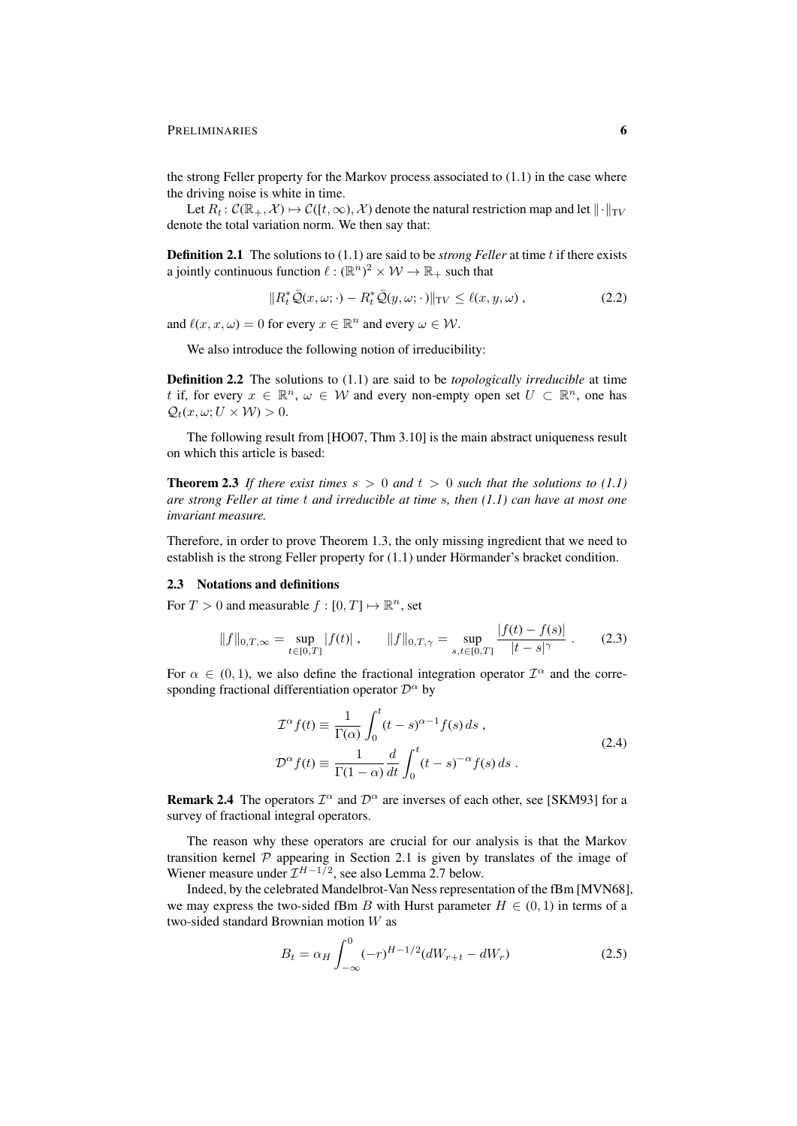the strong Feller property for the Markov process associated to (1.1) in the case where the driving noise is white in time.

Let  $R_t: \mathcal{C}(\mathbb{R}_+, \mathcal{X}) \mapsto \mathcal{C}([t, \infty), \mathcal{X})$  denote the natural restriction map and let  $\|\cdot\|_{TV}$ denote the total variation norm. We then say that:

**Definition 2.1** The solutions to (1.1) are said to be *strong Feller* at time t if there exists a jointly continuous function  $\ell : (\mathbb{R}^n)^2 \times \mathcal{W} \to \mathbb{R}_+$  such that

$$
||R_t^* \overline{Q}(x,\omega;\cdot) - R_t^* \overline{Q}(y,\omega;\cdot)||_{TV} \le \ell(x,y,\omega), \qquad (2.2)
$$

and  $\ell(x, x, \omega) = 0$  for every  $x \in \mathbb{R}^n$  and every  $\omega \in \mathcal{W}$ .

We also introduce the following notion of irreducibility:

Definition 2.2 The solutions to (1.1) are said to be *topologically irreducible* at time t if, for every  $x \in \mathbb{R}^n$ ,  $\omega \in \mathcal{W}$  and every non-empty open set  $U \subset \mathbb{R}^n$ , one has  $\mathcal{Q}_t(x,\omega;U\times\mathcal{W})>0.$ 

The following result from [HO07, Thm 3.10] is the main abstract uniqueness result on which this article is based:

**Theorem 2.3** If there exist times  $s > 0$  and  $t > 0$  such that the solutions to (1.1) *are strong Feller at time* t *and irreducible at time* s*, then (1.1) can have at most one invariant measure.*

Therefore, in order to prove Theorem 1.3, the only missing ingredient that we need to establish is the strong Feller property for  $(1.1)$  under Hörmander's bracket condition.

#### 2.3 Notations and definitions

For  $T > 0$  and measurable  $f : [0, T] \mapsto \mathbb{R}^n$ , set

$$
||f||_{0,T,\infty} = \sup_{t \in [0,T]} |f(t)| , \qquad ||f||_{0,T,\gamma} = \sup_{s,t \in [0,T]} \frac{|f(t) - f(s)|}{|t - s|^{\gamma}} . \tag{2.3}
$$

For  $\alpha \in (0, 1)$ , we also define the fractional integration operator  $\mathcal{I}^{\alpha}$  and the corresponding fractional differentiation operator  $\mathcal{D}^{\alpha}$  by

$$
\mathcal{I}^{\alpha}f(t) \equiv \frac{1}{\Gamma(\alpha)} \int_0^t (t-s)^{\alpha-1} f(s) ds ,
$$
  

$$
\mathcal{D}^{\alpha}f(t) \equiv \frac{1}{\Gamma(1-\alpha)} \frac{d}{dt} \int_0^t (t-s)^{-\alpha} f(s) ds .
$$
 (2.4)

**Remark 2.4** The operators  $\mathcal{I}^{\alpha}$  and  $\mathcal{D}^{\alpha}$  are inverses of each other, see [SKM93] for a survey of fractional integral operators.

The reason why these operators are crucial for our analysis is that the Markov transition kernel  $P$  appearing in Section 2.1 is given by translates of the image of Wiener measure under  $\mathcal{I}^{H-1/2}$ , see also Lemma 2.7 below.

Indeed, by the celebrated Mandelbrot-Van Ness representation of the fBm [MVN68], we may express the two-sided fBm B with Hurst parameter  $H \in (0, 1)$  in terms of a two-sided standard Brownian motion W as

$$
B_t = \alpha_H \int_{-\infty}^0 (-r)^{H-1/2} (dW_{r+t} - dW_r)
$$
 (2.5)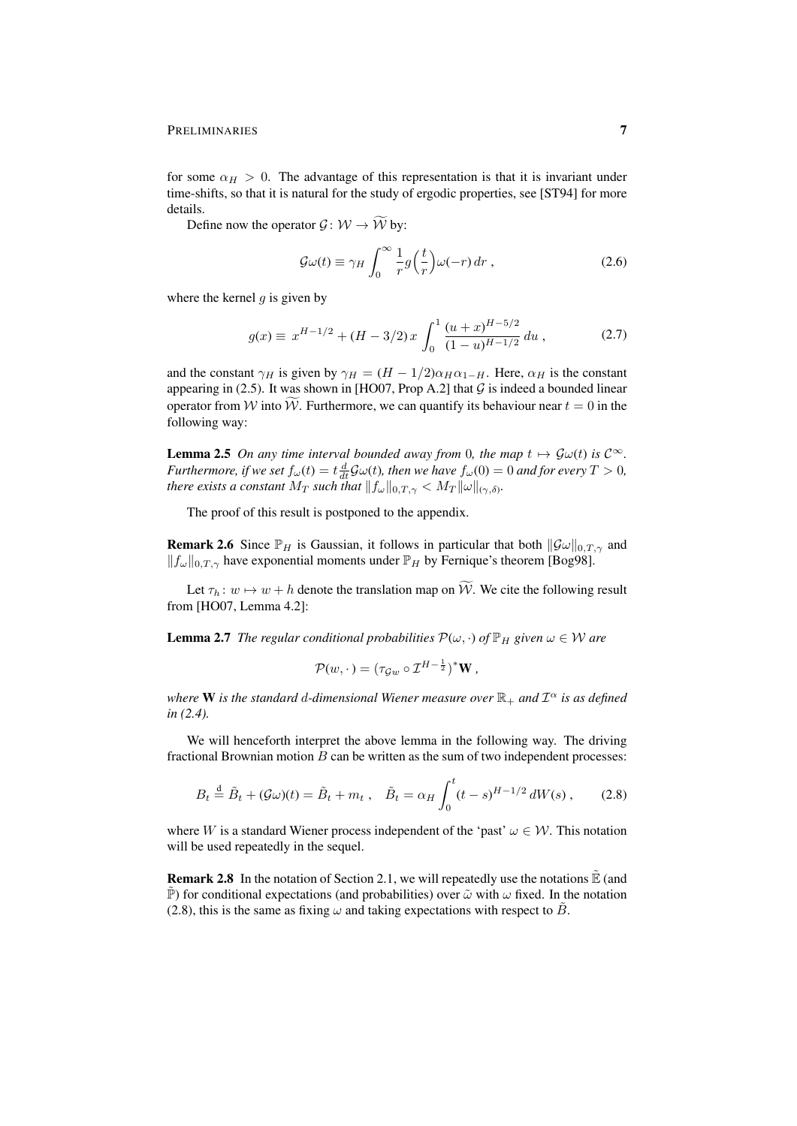for some  $\alpha_H > 0$ . The advantage of this representation is that it is invariant under time-shifts, so that it is natural for the study of ergodic properties, see [ST94] for more details.

Define now the operator  $\mathcal{G} \colon \mathcal{W} \to \widetilde{\mathcal{W}}$  by:

$$
\mathcal{G}\omega(t) \equiv \gamma_H \int_0^\infty \frac{1}{r} g\left(\frac{t}{r}\right) \omega(-r) \, dr \;, \tag{2.6}
$$

where the kernel  $g$  is given by

$$
g(x) \equiv x^{H-1/2} + (H-3/2)x \int_0^1 \frac{(u+x)^{H-5/2}}{(1-u)^{H-1/2}} du , \qquad (2.7)
$$

and the constant  $\gamma_H$  is given by  $\gamma_H = (H - 1/2)\alpha_H \alpha_{1-H}$ . Here,  $\alpha_H$  is the constant appearing in (2.5). It was shown in [HO07, Prop A.2] that  $G$  is indeed a bounded linear operator from W into  $\widetilde{W}$ . Furthermore, we can quantify its behaviour near  $t = 0$  in the following way:

**Lemma 2.5** *On any time interval bounded away from* 0*, the map*  $t \mapsto \mathcal{G}\omega(t)$  *is*  $\mathcal{C}^{\infty}$ *. Furthermore, if we set*  $f_{\omega}(t) = t \frac{d}{dt} \mathcal{G} \omega(t)$ *, then we have*  $f_{\omega}(0) = 0$  *and for every*  $T > 0$ *, there exists a constant*  $M_T$  *such that*  $\|f_\omega\|_{0,T,\gamma} < M_T\|\omega\|_{(\gamma,\delta)}.$ 

The proof of this result is postponed to the appendix.

**Remark 2.6** Since  $\mathbb{P}_H$  is Gaussian, it follows in particular that both  $\|\mathcal{G}\omega\|_{0,T,\gamma}$  and  $||f_{\omega}||_{0,T,\gamma}$  have exponential moments under  $\mathbb{P}_H$  by Fernique's theorem [Bog98].

Let  $\tau_h: w \mapsto w + h$  denote the translation map on  $\widetilde{W}$ . We cite the following result from [HO07, Lemma 4.2]:

**Lemma 2.7** *The regular conditional probabilities*  $\mathcal{P}(\omega, \cdot)$  *of*  $\mathbb{P}_H$  *given*  $\omega \in \mathcal{W}$  *are* 

$$
\mathcal{P}(w,\cdot)=(\tau_{\mathcal{G}w}\circ \mathcal{I}^{H-\frac{1}{2}})^*\mathbf{W},
$$

where  $\bf{W}$  is the standard  $d$ -dimensional Wiener measure over  $\mathbb{R}_+$  and  $\mathcal{I}^\alpha$  is as defined *in (2.4).*

We will henceforth interpret the above lemma in the following way. The driving fractional Brownian motion  $B$  can be written as the sum of two independent processes:

$$
B_t \stackrel{\text{d}}{=} \tilde{B}_t + (\mathcal{G}\omega)(t) = \tilde{B}_t + m_t \,, \quad \tilde{B}_t = \alpha_H \int_0^t (t - s)^{H - 1/2} \, dW(s) \,, \tag{2.8}
$$

where W is a standard Wiener process independent of the 'past'  $\omega \in \mathcal{W}$ . This notation will be used repeatedly in the sequel.

**Remark 2.8** In the notation of Section 2.1, we will repeatedly use the notations  $\mathbb{\tilde{E}}$  (and P for conditional expectations (and probabilities) over  $\tilde{\omega}$  with  $\omega$  fixed. In the notation (2.8), this is the same as fixing  $\omega$  and taking expectations with respect to B.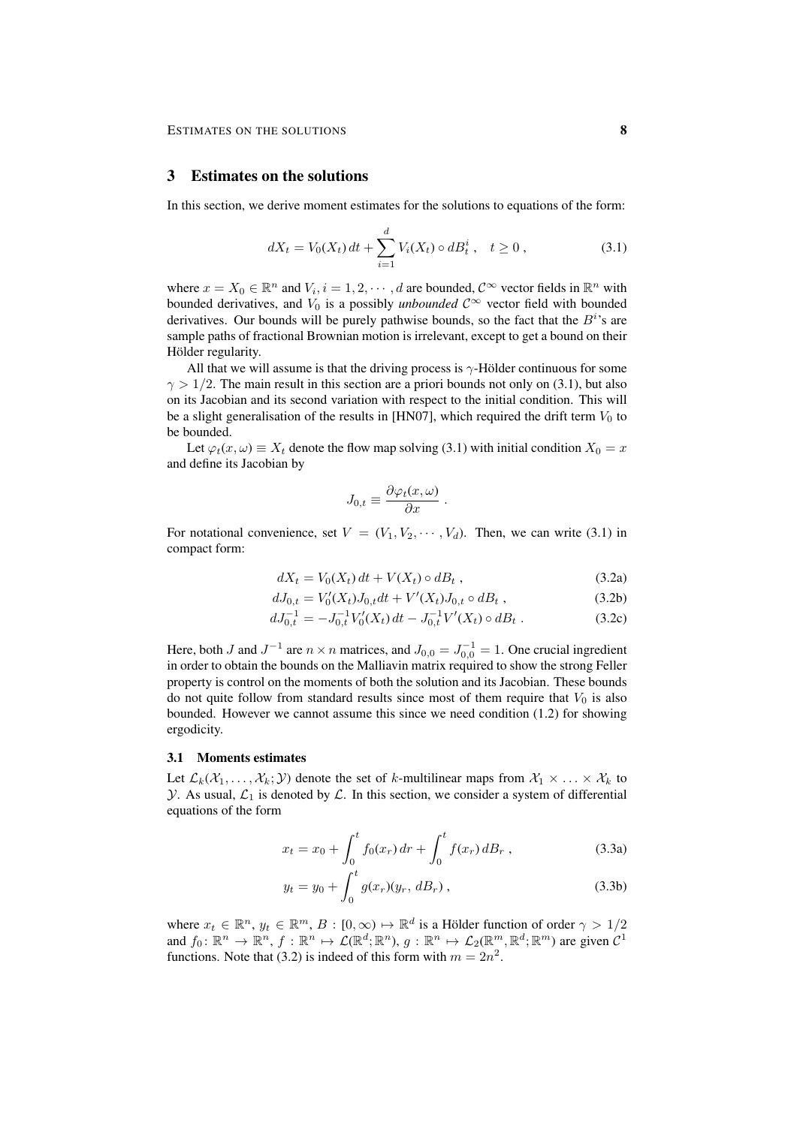## 3 Estimates on the solutions

In this section, we derive moment estimates for the solutions to equations of the form:

$$
dX_t = V_0(X_t) dt + \sum_{i=1}^d V_i(X_t) \circ dB_t^i, \quad t \ge 0,
$$
\n(3.1)

where  $x = X_0 \in \mathbb{R}^n$  and  $V_i$ ,  $i = 1, 2, \dots, d$  are bounded,  $C^{\infty}$  vector fields in  $\mathbb{R}^n$  with bounded derivatives, and  $V_0$  is a possibly *unbounded*  $C^{\infty}$  vector field with bounded derivatives. Our bounds will be purely pathwise bounds, so the fact that the  $B<sup>i</sup>$ 's are sample paths of fractional Brownian motion is irrelevant, except to get a bound on their Hölder regularity.

All that we will assume is that the driving process is  $\gamma$ -Hölder continuous for some  $\gamma > 1/2$ . The main result in this section are a priori bounds not only on (3.1), but also on its Jacobian and its second variation with respect to the initial condition. This will be a slight generalisation of the results in [HN07], which required the drift term  $V_0$  to be bounded.

Let  $\varphi_t(x,\omega) \equiv X_t$  denote the flow map solving (3.1) with initial condition  $X_0 = x$ and define its Jacobian by

$$
J_{0,t} \equiv \frac{\partial \varphi_t(x,\omega)}{\partial x} .
$$

For notational convenience, set  $V = (V_1, V_2, \dots, V_d)$ . Then, we can write (3.1) in compact form:

$$
dX_t = V_0(X_t) dt + V(X_t) \circ dB_t , \qquad (3.2a)
$$

$$
dJ_{0,t} = V_0'(X_t)J_{0,t}dt + V'(X_t)J_{0,t} \circ dB_t , \qquad (3.2b)
$$

$$
dJ_{0,t}^{-1} = -J_{0,t}^{-1}V_0'(X_t) dt - J_{0,t}^{-1}V'(X_t) \circ dB_t . \qquad (3.2c)
$$

Here, both J and  $J^{-1}$  are  $n \times n$  matrices, and  $J_{0,0} = J_{0,0}^{-1} = 1$ . One crucial ingredient in order to obtain the bounds on the Malliavin matrix required to show the strong Feller property is control on the moments of both the solution and its Jacobian. These bounds do not quite follow from standard results since most of them require that  $V_0$  is also bounded. However we cannot assume this since we need condition (1.2) for showing ergodicity.

#### 3.1 Moments estimates

Let  $\mathcal{L}_k(\mathcal{X}_1,\ldots,\mathcal{X}_k;\mathcal{Y})$  denote the set of k-multilinear maps from  $\mathcal{X}_1 \times \ldots \times \mathcal{X}_k$  to  $Y$ . As usual,  $\mathcal{L}_1$  is denoted by  $\mathcal{L}$ . In this section, we consider a system of differential equations of the form

$$
x_t = x_0 + \int_0^t f_0(x_r) dr + \int_0^t f(x_r) dB_r , \qquad (3.3a)
$$

$$
y_t = y_0 + \int_0^t g(x_r)(y_r, dB_r), \qquad (3.3b)
$$

where  $x_t \in \mathbb{R}^n$ ,  $y_t \in \mathbb{R}^m$ ,  $B: [0, \infty) \mapsto \mathbb{R}^d$  is a Hölder function of order  $\gamma > 1/2$ and  $f_0: \mathbb{R}^n \to \mathbb{R}^n$ ,  $f: \mathbb{R}^n \mapsto \mathcal{L}(\mathbb{R}^d; \mathbb{R}^n)$ ,  $g: \mathbb{R}^n \mapsto \mathcal{L}_2(\mathbb{R}^m, \mathbb{R}^d; \mathbb{R}^m)$  are given  $\mathcal{C}^1$ functions. Note that (3.2) is indeed of this form with  $m = 2n^2$ .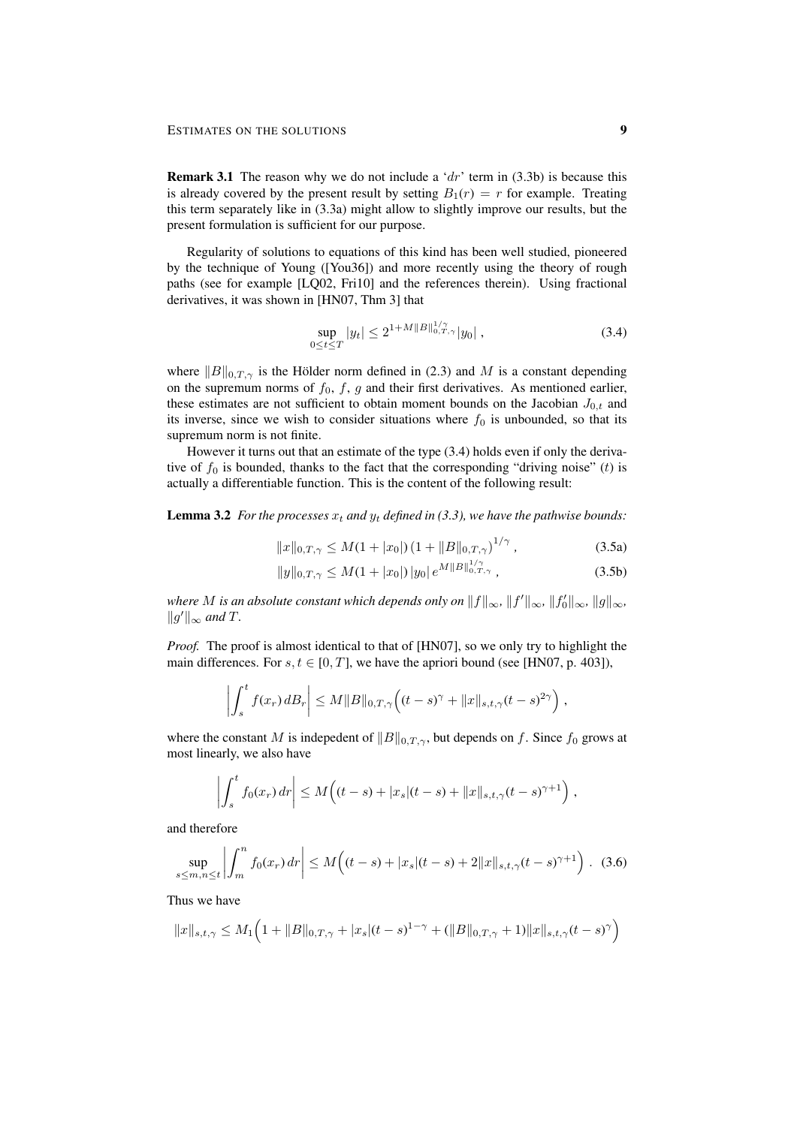**Remark 3.1** The reason why we do not include a 'dr' term in  $(3.3b)$  is because this is already covered by the present result by setting  $B_1(r) = r$  for example. Treating this term separately like in (3.3a) might allow to slightly improve our results, but the present formulation is sufficient for our purpose.

Regularity of solutions to equations of this kind has been well studied, pioneered by the technique of Young ([You36]) and more recently using the theory of rough paths (see for example [LQ02, Fri10] and the references therein). Using fractional derivatives, it was shown in [HN07, Thm 3] that

$$
\sup_{0 \le t \le T} |y_t| \le 2^{1+M \|B\|_{0,T,\gamma}^{1/\gamma}} |y_0| \,, \tag{3.4}
$$

where  $||B||_{0,T,\gamma}$  is the Hölder norm defined in (2.3) and M is a constant depending on the supremum norms of  $f_0$ ,  $f$ ,  $g$  and their first derivatives. As mentioned earlier, these estimates are not sufficient to obtain moment bounds on the Jacobian  $J_{0,t}$  and its inverse, since we wish to consider situations where  $f_0$  is unbounded, so that its supremum norm is not finite.

However it turns out that an estimate of the type (3.4) holds even if only the derivative of  $f_0$  is bounded, thanks to the fact that the corresponding "driving noise" (t) is actually a differentiable function. This is the content of the following result:

**Lemma 3.2** *For the processes*  $x_t$  *and*  $y_t$  *defined in* (3.3)*, we have the pathwise bounds:* 

$$
||x||_{0,T,\gamma} \le M(1+|x_0|) \left(1+\|B\|_{0,T,\gamma}\right)^{1/\gamma},\tag{3.5a}
$$

$$
||y||_{0,T,\gamma} \le M(1+|x_0|) |y_0| e^{M||B||_{0,T,\gamma}^{1/\gamma}}, \qquad (3.5b)
$$

 $\omega$  *where*  $M$  *is an absolute constant which depends only on*  $\|f\|_{\infty}$ *,*  $\|f'\|_{\infty}$ *,*  $\|f_0'\|_{\infty}$ *,*  $\|g\|_{\infty}$ *,*  $||g'||_{\infty}$  and *T*.

*Proof.* The proof is almost identical to that of [HN07], so we only try to highlight the main differences. For  $s, t \in [0, T]$ , we have the apriori bound (see [HN07, p. 403]),

$$
\left| \int_s^t f(x_r) dB_r \right| \leq M \|B\|_{0,T,\gamma} \left( (t-s)^\gamma + \|x\|_{s,t,\gamma} (t-s)^{2\gamma} \right),
$$

where the constant M is indepedent of  $||B||_{0,T,\gamma}$ , but depends on f. Since  $f_0$  grows at most linearly, we also have

$$
\left|\int_{s}^{t} f_0(x_r) dr \right| \leq M \Big( (t-s) + |x_s|(t-s) + ||x||_{s,t,\gamma} (t-s)^{\gamma+1} \Big) ,
$$

and therefore

$$
\sup_{s \le m, n \le t} \left| \int_{m}^{n} f_0(x_r) dr \right| \le M \left( (t - s) + |x_s|(t - s) + 2||x||_{s, t, \gamma} (t - s)^{\gamma + 1} \right). \tag{3.6}
$$

Thus we have

$$
||x||_{s,t,\gamma} \le M_1 \Big( 1 + ||B||_{0,T,\gamma} + |x_s|(t-s)^{1-\gamma} + (||B||_{0,T,\gamma} + 1)||x||_{s,t,\gamma}(t-s)^{\gamma} \Big)
$$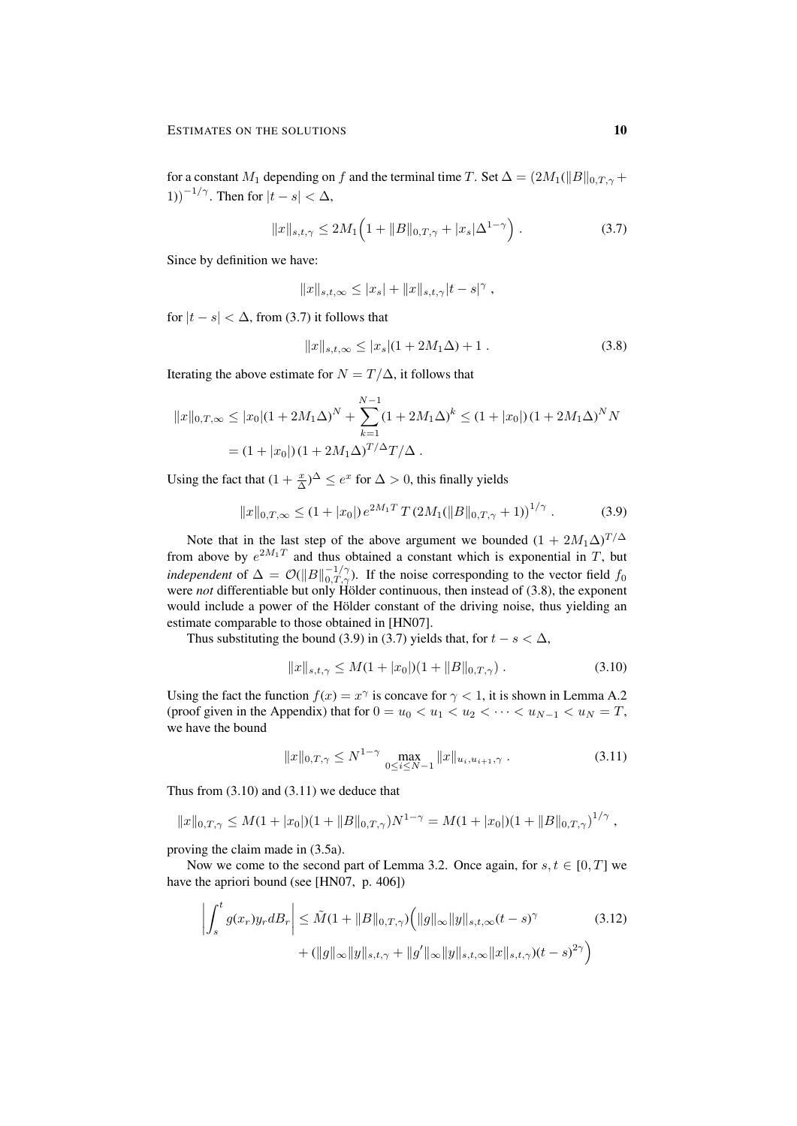for a constant  $M_1$  depending on f and the terminal time T. Set  $\Delta = (2M_1(||B||_{0,T,\gamma} +$ 1))<sup>-1/ $\gamma$ </sup>. Then for  $|t - s| < \Delta$ ,

$$
||x||_{s,t,\gamma} \le 2M_1 \left( 1 + ||B||_{0,T,\gamma} + |x_s| \Delta^{1-\gamma} \right). \tag{3.7}
$$

Since by definition we have:

$$
||x||_{s,t,\infty} \leq |x_s| + ||x||_{s,t,\gamma}|t-s|^{\gamma}
$$
,

for  $|t - s| < \Delta$ , from (3.7) it follows that

$$
||x||_{s,t,\infty} \le |x_s|(1+2M_1\Delta) + 1.
$$
 (3.8)

Iterating the above estimate for  $N = T/\Delta$ , it follows that

$$
||x||_{0,T,\infty} \le |x_0|(1+2M_1\Delta)^N + \sum_{k=1}^{N-1} (1+2M_1\Delta)^k \le (1+|x_0|)(1+2M_1\Delta)^N N
$$
  
=  $(1+|x_0|)(1+2M_1\Delta)^{T/\Delta}T/\Delta$ .

Using the fact that  $(1 + \frac{x}{\Delta})^{\Delta} \le e^x$  for  $\Delta > 0$ , this finally yields

$$
||x||_{0,T,\infty} \le (1+|x_0|) e^{2M_1 T} T (2M_1(||B||_{0,T,\gamma}+1))^{1/\gamma} . \tag{3.9}
$$

Note that in the last step of the above argument we bounded  $(1 + 2M_1\Delta)^{T/\Delta}$ from above by  $e^{2M_1T}$  and thus obtained a constant which is exponential in T, but *independent* of  $\Delta = \mathcal{O}(\|B\|_{0,T,\gamma}^{-1/\gamma})$ . If the noise corresponding to the vector field  $f_0$ were *not* differentiable but only Hölder continuous, then instead of (3.8), the exponent would include a power of the Hölder constant of the driving noise, thus yielding an estimate comparable to those obtained in [HN07].

Thus substituting the bound (3.9) in (3.7) yields that, for  $t - s < \Delta$ ,

$$
||x||_{s,t,\gamma} \le M(1+|x_0|)(1+||B||_{0,T,\gamma}). \tag{3.10}
$$

Using the fact the function  $f(x) = x^{\gamma}$  is concave for  $\gamma < 1$ , it is shown in Lemma A.2 (proof given in the Appendix) that for  $0 = u_0 < u_1 < u_2 < \cdots < u_{N-1} < u_N = T$ , we have the bound

$$
||x||_{0,T,\gamma} \le N^{1-\gamma} \max_{0 \le i \le N-1} ||x||_{u_i, u_{i+1}, \gamma}.
$$
 (3.11)

Thus from (3.10) and (3.11) we deduce that

$$
||x||_{0,T,\gamma} \leq M(1+|x_0|)(1+||B||_{0,T,\gamma})N^{1-\gamma} = M(1+|x_0|)(1+||B||_{0,T,\gamma})^{1/\gamma},
$$

proving the claim made in (3.5a).

Now we come to the second part of Lemma 3.2. Once again, for  $s, t \in [0, T]$  we have the apriori bound (see [HN07, p. 406])

$$
\left| \int_{s}^{t} g(x_{r}) y_{r} dB_{r} \right| \leq \tilde{M}(1 + \|B\|_{0,T,\gamma}) \Big( \|g\|_{\infty} \|y\|_{s,t,\infty} (t-s)^{\gamma} \qquad (3.12)
$$

$$
+ (\|g\|_{\infty} \|y\|_{s,t,\gamma} + \|g'\|_{\infty} \|y\|_{s,t,\infty} \|x\|_{s,t,\gamma}) (t-s)^{2\gamma} \Big)
$$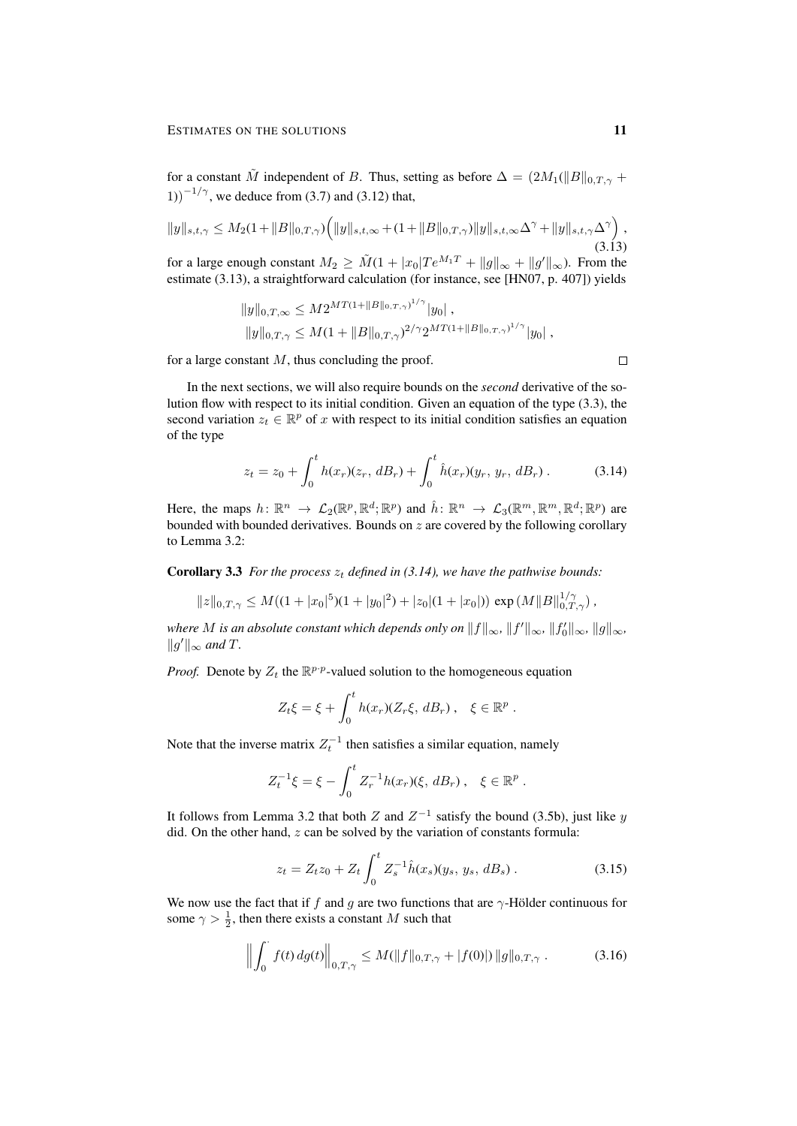for a constant  $\tilde{M}$  independent of B. Thus, setting as before  $\Delta = (2M_1(||B||_{0,T,\gamma} +$ 1))<sup> $-1/\gamma$ </sup>, we deduce from (3.7) and (3.12) that,

$$
||y||_{s,t,\gamma} \le M_2(1+||B||_{0,T,\gamma}) \Big(||y||_{s,t,\infty} + (1+||B||_{0,T,\gamma})||y||_{s,t,\infty} \Delta^{\gamma} + ||y||_{s,t,\gamma} \Delta^{\gamma} \Big),\tag{3.13}
$$

for a large enough constant  $M_2 \geq \tilde{M}(1+|x_0|Te^{M_1T} + ||g||_{\infty} + ||g'||_{\infty})$ . From the estimate (3.13), a straightforward calculation (for instance, see [HN07, p. 407]) yields

$$
||y||_{0,T,\infty} \le M 2^{MT(1+||B||_{0,T,\gamma})^{1/\gamma}} |y_0|,
$$
  

$$
||y||_{0,T,\gamma} \le M(1+||B||_{0,T,\gamma})^{2/\gamma} 2^{MT(1+||B||_{0,T,\gamma})^{1/\gamma}} |y_0|,
$$

for a large constant  $M$ , thus concluding the proof.

In the next sections, we will also require bounds on the *second* derivative of the solution flow with respect to its initial condition. Given an equation of the type (3.3), the second variation  $z_t \in \mathbb{R}^p$  of x with respect to its initial condition satisfies an equation of the type

$$
z_t = z_0 + \int_0^t h(x_r)(z_r, dB_r) + \int_0^t \hat{h}(x_r)(y_r, y_r, dB_r).
$$
 (3.14)

Here, the maps  $h: \mathbb{R}^n \to \mathcal{L}_2(\mathbb{R}^p, \mathbb{R}^d; \mathbb{R}^p)$  and  $\hat{h}: \mathbb{R}^n \to \mathcal{L}_3(\mathbb{R}^m, \mathbb{R}^m, \mathbb{R}^d; \mathbb{R}^p)$  are bounded with bounded derivatives. Bounds on  $z$  are covered by the following corollary to Lemma 3.2:

**Corollary 3.3** *For the process*  $z_t$  *defined in (3.14), we have the pathwise bounds:* 

$$
||z||_{0,T,\gamma} \leq M((1+|x_0|^5)(1+|y_0|^2)+|z_0|(1+|x_0|)) \exp\left(M||B||_{0,T,\gamma}^{1/\gamma}\right),
$$

 $\omega$  *where*  $M$  *is an absolute constant which depends only on*  $\|f\|_{\infty}$ *,*  $\|f'\|_{\infty}$ *,*  $\|f_0'\|_{\infty}$ *,*  $\|g\|_{\infty}$ *,*  $||g'||_{\infty}$  and *T*.

*Proof.* Denote by  $Z_t$  the  $\mathbb{R}^{p \cdot p}$ -valued solution to the homogeneous equation

$$
Z_t \xi = \xi + \int_0^t h(x_r)(Z_r \xi, dB_r), \quad \xi \in \mathbb{R}^p.
$$

Note that the inverse matrix  $Z_t^{-1}$  then satisfies a similar equation, namely

$$
Z_t^{-1}\xi = \xi - \int_0^t Z_r^{-1}h(x_r)(\xi, dB_r), \quad \xi \in \mathbb{R}^p.
$$

It follows from Lemma 3.2 that both Z and  $Z^{-1}$  satisfy the bound (3.5b), just like y did. On the other hand,  $z$  can be solved by the variation of constants formula:

$$
z_t = Z_t z_0 + Z_t \int_0^t Z_s^{-1} \hat{h}(x_s)(y_s, y_s, dB_s) . \tag{3.15}
$$

We now use the fact that if f and g are two functions that are  $\gamma$ -Hölder continuous for some  $\gamma > \frac{1}{2}$ , then there exists a constant M such that

$$
\left\| \int_0^{\cdot} f(t) \, dg(t) \right\|_{0,T,\gamma} \le M(\|f\|_{0,T,\gamma} + |f(0)|) \, \|g\|_{0,T,\gamma} \,. \tag{3.16}
$$

 $\Box$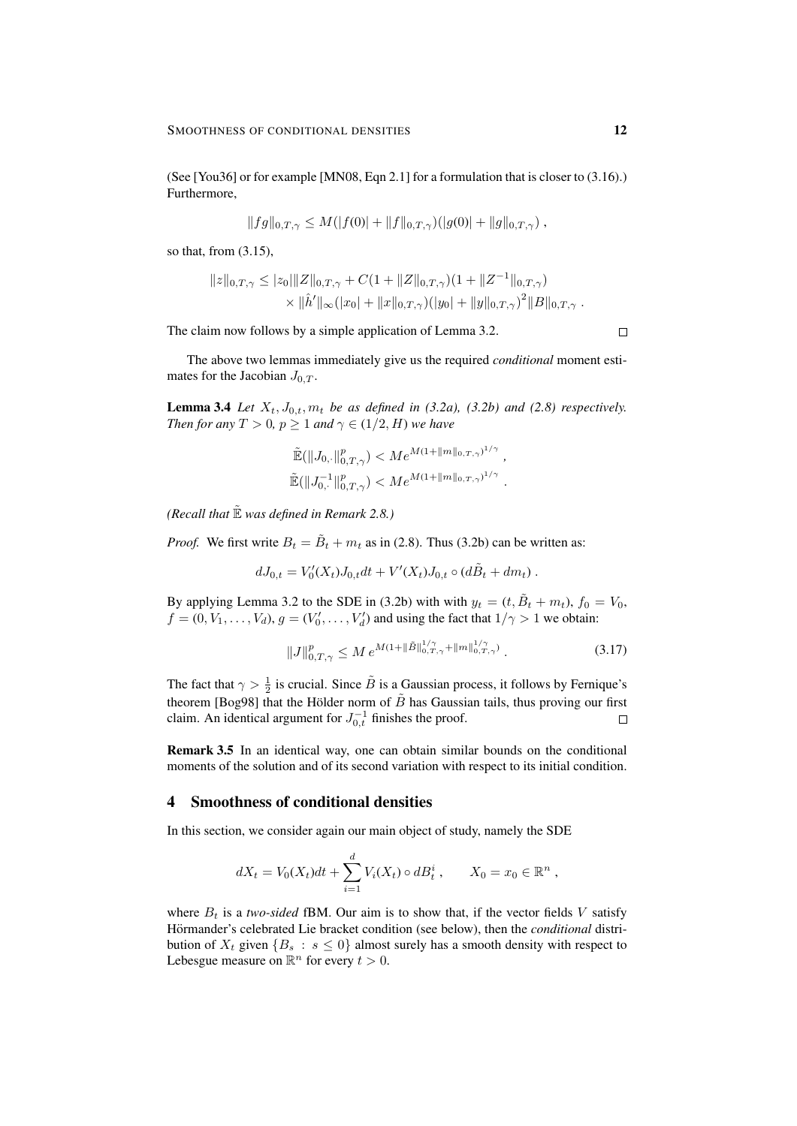(See [You36] or for example [MN08, Eqn 2.1] for a formulation that is closer to (3.16).) Furthermore,

$$
||fg||_{0,T,\gamma} \leq M(|f(0)| + ||f||_{0,T,\gamma})(|g(0)| + ||g||_{0,T,\gamma}),
$$

so that, from (3.15),

$$
||z||_{0,T,\gamma} \leq |z_0| ||Z||_{0,T,\gamma} + C(1 + ||Z||_{0,T,\gamma})(1 + ||Z^{-1}||_{0,T,\gamma})
$$
  
 
$$
\times ||\hat{h}'||_{\infty} (|x_0| + ||x||_{0,T,\gamma})(|y_0| + ||y||_{0,T,\gamma})^2 ||B||_{0,T,\gamma}.
$$

The claim now follows by a simple application of Lemma 3.2.

The above two lemmas immediately give us the required *conditional* moment estimates for the Jacobian  $J_{0,T}$ .

**Lemma 3.4** *Let*  $X_t$ ,  $J_{0,t}$ ,  $m_t$  *be as defined in (3.2a), (3.2b) and (2.8) respectively. Then for any*  $T > 0$ ,  $p \ge 1$  *and*  $\gamma \in (1/2, H)$  *we have* 

$$
\tilde{\mathbb{E}}(\|J_{0,\cdot}\|_{0,T,\gamma}^p) < M e^{M(1+\|m\|_{0,T,\gamma})^{1/\gamma}},
$$
\n
$$
\tilde{\mathbb{E}}(\|J_{0,\cdot}^{-1}\|_{0,T,\gamma}^p) < M e^{M(1+\|m\|_{0,T,\gamma})^{1/\gamma}}.
$$

*(Recall that* E˜ *was defined in Remark 2.8.)*

*Proof.* We first write  $B_t = \tilde{B}_t + m_t$  as in (2.8). Thus (3.2b) can be written as:

$$
dJ_{0,t} = V_0'(X_t)J_{0,t}dt + V'(X_t)J_{0,t} \circ (d\tilde{B}_t + dm_t).
$$

By applying Lemma 3.2 to the SDE in (3.2b) with with  $y_t = (t, \tilde{B}_t + m_t)$ ,  $f_0 = V_0$ ,  $f = (0, V_1, \dots, V_d)$ ,  $g = (V'_0, \dots, V'_d)$  and using the fact that  $1/\gamma > 1$  we obtain:

 $1/47$ 

$$
||J||_{0,T,\gamma}^p \le M e^{M(1+||\tilde{B}||_{0,T,\gamma}^{1/\gamma}+||m||_{0,T,\gamma}^{1/\gamma})}.
$$
 (3.17)

The fact that  $\gamma > \frac{1}{2}$  is crucial. Since  $\tilde{B}$  is a Gaussian process, it follows by Fernique's theorem [Bog98] that the Hölder norm of  $\tilde{B}$  has Gaussian tails, thus proving our first claim. An identical argument for  $J_{0,t}^{-1}$  finishes the proof.  $\Box$ 

Remark 3.5 In an identical way, one can obtain similar bounds on the conditional moments of the solution and of its second variation with respect to its initial condition.

## 4 Smoothness of conditional densities

In this section, we consider again our main object of study, namely the SDE

$$
dX_t = V_0(X_t)dt + \sum_{i=1}^d V_i(X_t) \circ dB_t^i, \qquad X_0 = x_0 \in \mathbb{R}^n,
$$

where  $B_t$  is a *two-sided* fBM. Our aim is to show that, if the vector fields V satisfy Hörmander's celebrated Lie bracket condition (see below), then the *conditional* distribution of  $X_t$  given  ${B_s : s \leq 0}$  almost surely has a smooth density with respect to Lebesgue measure on  $\mathbb{R}^n$  for every  $t > 0$ .

 $\Box$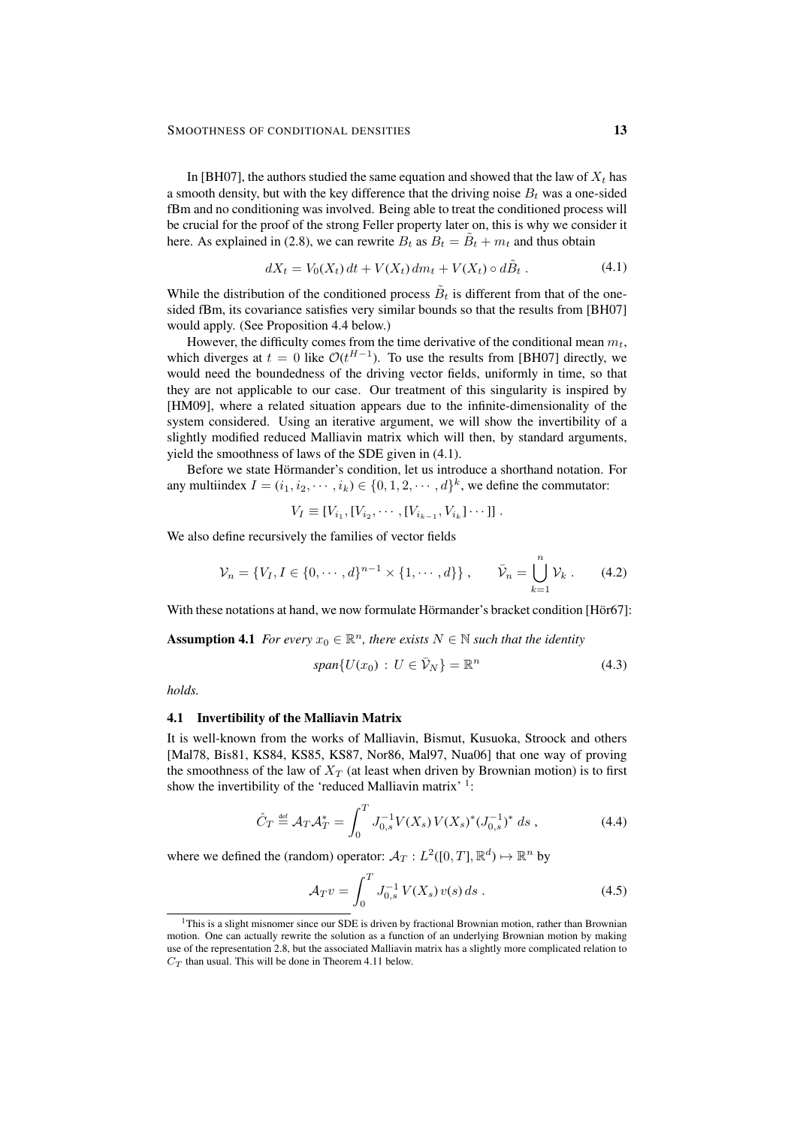#### SMOOTHNESS OF CONDITIONAL DENSITIES 13

In [BH07], the authors studied the same equation and showed that the law of  $X_t$  has a smooth density, but with the key difference that the driving noise  $B_t$  was a one-sided fBm and no conditioning was involved. Being able to treat the conditioned process will be crucial for the proof of the strong Feller property later on, this is why we consider it here. As explained in (2.8), we can rewrite  $B_t$  as  $B_t = \tilde{B}_t + m_t$  and thus obtain

$$
dX_t = V_0(X_t) dt + V(X_t) dm_t + V(X_t) \circ d\tilde{B}_t.
$$
 (4.1)

While the distribution of the conditioned process  $\tilde{B}_t$  is different from that of the onesided fBm, its covariance satisfies very similar bounds so that the results from [BH07] would apply. (See Proposition 4.4 below.)

However, the difficulty comes from the time derivative of the conditional mean  $m_t$ , which diverges at  $t = 0$  like  $\mathcal{O}(t^{H-1})$ . To use the results from [BH07] directly, we would need the boundedness of the driving vector fields, uniformly in time, so that they are not applicable to our case. Our treatment of this singularity is inspired by [HM09], where a related situation appears due to the infinite-dimensionality of the system considered. Using an iterative argument, we will show the invertibility of a slightly modified reduced Malliavin matrix which will then, by standard arguments, yield the smoothness of laws of the SDE given in (4.1).

Before we state Hörmander's condition, let us introduce a shorthand notation. For any multiindex  $I = (i_1, i_2, \dots, i_k) \in \{0, 1, 2, \dots, d\}^k$ , we define the commutator:

$$
V_I \equiv [V_{i_1}, [V_{i_2}, \cdots, [V_{i_{k-1}}, V_{i_k}] \cdots]]
$$
.

We also define recursively the families of vector fields

$$
\mathcal{V}_n = \{V_I, I \in \{0, \cdots, d\}^{n-1} \times \{1, \cdots, d\}\}, \qquad \bar{\mathcal{V}}_n = \bigcup_{k=1}^n \mathcal{V}_k. \tag{4.2}
$$

With these notations at hand, we now formulate Hörmander's bracket condition [Hör67]:

**Assumption 4.1** *For every*  $x_0 \in \mathbb{R}^n$ , there exists  $N \in \mathbb{N}$  such that the identity

$$
span{U(x_0) : U \in \bar{\mathcal{V}}_N} = \mathbb{R}^n
$$
\n(4.3)

*holds.*

#### 4.1 Invertibility of the Malliavin Matrix

It is well-known from the works of Malliavin, Bismut, Kusuoka, Stroock and others [Mal78, Bis81, KS84, KS85, KS87, Nor86, Mal97, Nua06] that one way of proving the smoothness of the law of  $X_T$  (at least when driven by Brownian motion) is to first show the invertibility of the 'reduced Malliavin matrix'  $\frac{1}{1}$ :

$$
\hat{C}_T \stackrel{\text{def}}{=} \mathcal{A}_T \mathcal{A}_T^* = \int_0^T J_{0,s}^{-1} V(X_s) V(X_s)^* (J_{0,s}^{-1})^* ds , \qquad (4.4)
$$

where we defined the (random) operator:  $\mathcal{A}_T : L^2([0,T], \mathbb{R}^d) \mapsto \mathbb{R}^n$  by

$$
\mathcal{A}_T v = \int_0^T J_{0,s}^{-1} V(X_s) v(s) ds . \qquad (4.5)
$$

<sup>&</sup>lt;sup>1</sup>This is a slight misnomer since our SDE is driven by fractional Brownian motion, rather than Brownian motion. One can actually rewrite the solution as a function of an underlying Brownian motion by making use of the representation 2.8, but the associated Malliavin matrix has a slightly more complicated relation to  $C_T$  than usual. This will be done in Theorem 4.11 below.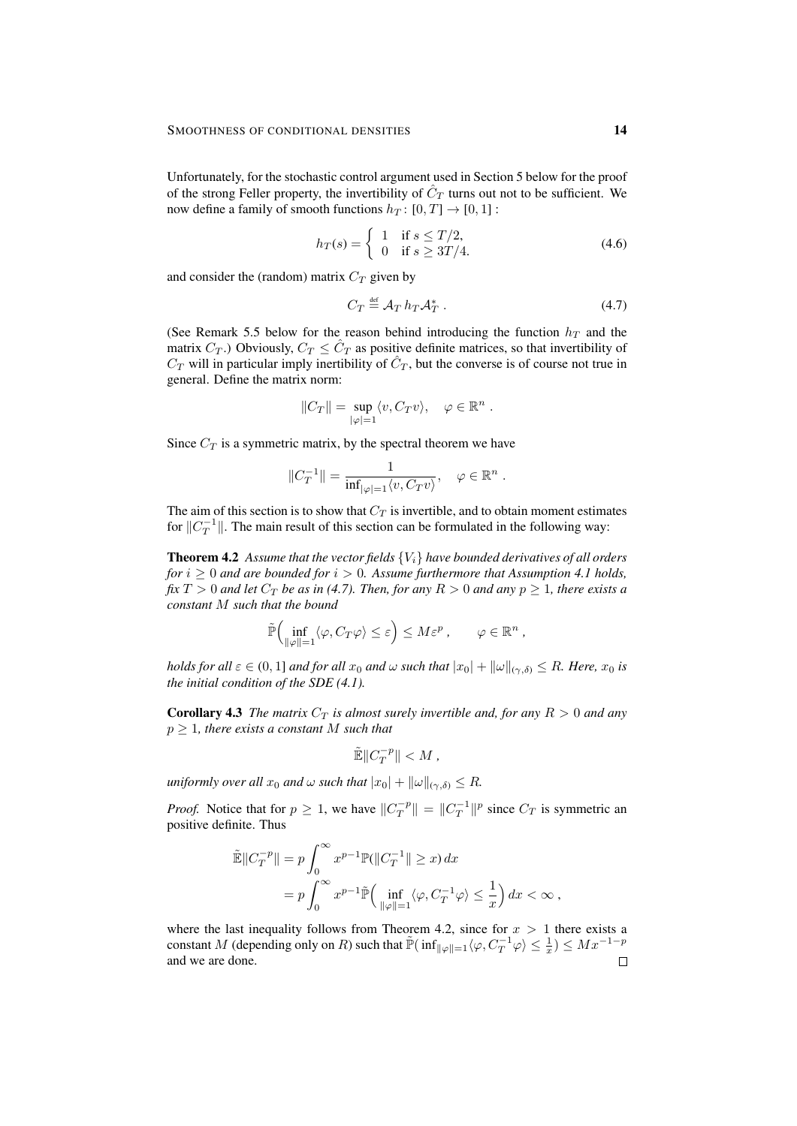Unfortunately, for the stochastic control argument used in Section 5 below for the proof of the strong Feller property, the invertibility of  $\hat{C}_T$  turns out not to be sufficient. We now define a family of smooth functions  $h_T : [0, T] \rightarrow [0, 1]$ :

$$
h_T(s) = \begin{cases} 1 & \text{if } s \le T/2, \\ 0 & \text{if } s \ge 3T/4. \end{cases}
$$
 (4.6)

and consider the (random) matrix  $C_T$  given by

$$
C_T \stackrel{\text{def}}{=} \mathcal{A}_T \, h_T \mathcal{A}_T^* \,. \tag{4.7}
$$

(See Remark 5.5 below for the reason behind introducing the function  $h_T$  and the matrix  $C_T$ .) Obviously,  $C_T \leq \hat{C}_T$  as positive definite matrices, so that invertibility of  $C_T$  will in particular imply inertibility of  $\hat{C}_T$ , but the converse is of course not true in general. Define the matrix norm:

$$
||C_T|| = \sup_{|\varphi|=1} \langle v, C_T v \rangle, \quad \varphi \in \mathbb{R}^n.
$$

Since  $C_T$  is a symmetric matrix, by the spectral theorem we have

$$
||C_T^{-1}|| = \frac{1}{\inf_{|\varphi|=1} \langle v, C_T v \rangle}, \quad \varphi \in \mathbb{R}^n.
$$

The aim of this section is to show that  $C_T$  is invertible, and to obtain moment estimates for  $||C_T^{-1}||$ . The main result of this section can be formulated in the following way:

Theorem 4.2 *Assume that the vector fields* {Vi} *have bounded derivatives of all orders for*  $i \geq 0$  *and are bounded for*  $i > 0$ *. Assume furthermore that Assumption 4.1 holds, fix*  $T > 0$  *and let*  $C_T$  *be as in (4.7). Then, for any*  $R > 0$  *and any*  $p \ge 1$ *, there exists a constant* M *such that the bound*

$$
\widetilde{\mathbb{P}}\left(\inf_{\|\varphi\|=1}\langle\varphi,C_T\varphi\rangle\leq\varepsilon\right)\leq M\varepsilon^p\,,\qquad\varphi\in\mathbb{R}^n\,,
$$

*holds for all*  $\varepsilon \in (0, 1]$  *and for all*  $x_0$  *and*  $\omega$  *such that*  $|x_0| + ||\omega||_{(\gamma, \delta)} \le R$ *. Here,*  $x_0$  *is the initial condition of the SDE (4.1).*

**Corollary 4.3** *The matrix*  $C_T$  *is almost surely invertible and, for any*  $R > 0$  *and any* p ≥ 1*, there exists a constant* M *such that*

$$
\tilde{\mathbb{E}}\|C_T^{-p}\| < M \; ,
$$

*uniformly over all*  $x_0$  *and*  $\omega$  *such that*  $|x_0| + ||\omega||_{(\gamma,\delta)} \le R$ *.* 

*Proof.* Notice that for  $p \ge 1$ , we have  $||C_T^{-p}|| = ||C_T^{-1}||^p$  since  $C_T$  is symmetric an positive definite. Thus

$$
\tilde{\mathbb{E}}||C_T^{-p}|| = p \int_0^\infty x^{p-1} \mathbb{P}(||C_T^{-1}|| \ge x) dx
$$
  
=  $p \int_0^\infty x^{p-1} \tilde{\mathbb{P}}\left(\inf_{||\varphi||=1} \langle \varphi, C_T^{-1} \varphi \rangle \le \frac{1}{x}\right) dx < \infty$ ,

where the last inequality follows from Theorem 4.2, since for  $x > 1$  there exists a constant M (depending only on R) such that  $\tilde{P}(\inf_{\|\varphi\|=1} \langle \varphi, C_T^{-1} \varphi \rangle \leq \frac{1}{x}) \leq M x^{-1-p}$ and we are done. $\Box$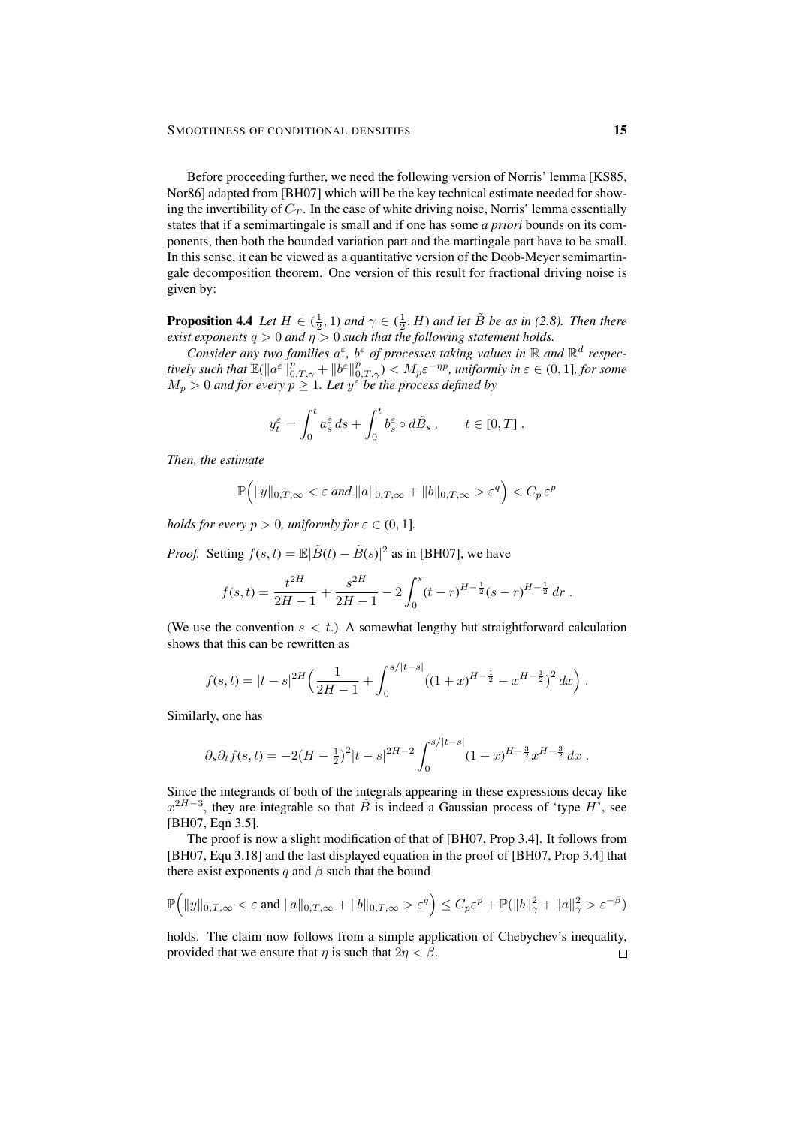Before proceeding further, we need the following version of Norris' lemma [KS85, Nor86] adapted from [BH07] which will be the key technical estimate needed for showing the invertibility of  $C_T$ . In the case of white driving noise, Norris' lemma essentially states that if a semimartingale is small and if one has some *a priori* bounds on its components, then both the bounded variation part and the martingale part have to be small. In this sense, it can be viewed as a quantitative version of the Doob-Meyer semimartingale decomposition theorem. One version of this result for fractional driving noise is given by:

**Proposition 4.4** Let  $H \in (\frac{1}{2}, 1)$  and  $\gamma \in (\frac{1}{2}, H)$  and let  $\tilde{B}$  be as in (2.8). Then there *exist exponents*  $q > 0$  *and*  $\eta > 0$  *such that the following statement holds.* 

*Consider any two families*  $a^{\varepsilon}$ ,  $b^{\varepsilon}$  *of processes taking values in*  $\mathbb R$  *and*  $\mathbb R^d$  *respectively such that*  $\mathbb{E}(\|a^{\varepsilon}\|_{0,T,\gamma}^p + \|b^{\varepsilon}\|_{0,T,\gamma}^p) < M_p \varepsilon^{-\eta p}$ , uniformly in  $\varepsilon \in (0,1]$ , for some  $M_p > 0$  and for every  $p \geq 1$ . Let  $y^{\varepsilon}$  be the process defined by

$$
y_t^{\varepsilon} = \int_0^t a_s^{\varepsilon} ds + \int_0^t b_s^{\varepsilon} \circ d\tilde{B}_s, \qquad t \in [0, T].
$$

*Then, the estimate*

$$
\mathbb{P}\Big(\|y\|_{0,T,\infty} < \varepsilon \text{ and } \|a\|_{0,T,\infty} + \|b\|_{0,T,\infty} > \varepsilon^q\Big) < C_p \, \varepsilon^p
$$

*holds for every*  $p > 0$ *, uniformly for*  $\varepsilon \in (0, 1]$ *.* 

*Proof.* Setting  $f(s,t) = \mathbb{E}|\tilde{B}(t) - \tilde{B}(s)|^2$  as in [BH07], we have

$$
f(s,t) = \frac{t^{2H}}{2H - 1} + \frac{s^{2H}}{2H - 1} - 2\int_0^s (t - r)^{H - \frac{1}{2}} (s - r)^{H - \frac{1}{2}} dr.
$$

(We use the convention  $s < t$ .) A somewhat lengthy but straightforward calculation shows that this can be rewritten as

$$
f(s,t) = |t-s|^{2H} \left( \frac{1}{2H-1} + \int_0^{s/|t-s|} ((1+x)^{H-\frac{1}{2}} - x^{H-\frac{1}{2}})^2 dx \right).
$$

Similarly, one has

$$
\partial_s \partial_t f(s,t) = -2(H - \frac{1}{2})^2 |t-s|^{2H-2} \int_0^{s/|t-s|} (1+x)^{H-\frac{3}{2}} x^{H-\frac{3}{2}} dx.
$$

Since the integrands of both of the integrals appearing in these expressions decay like  $x^{2H-3}$ , they are integrable so that  $\tilde{B}$  is indeed a Gaussian process of 'type H', see [BH07, Eqn 3.5].

The proof is now a slight modification of that of [BH07, Prop 3.4]. It follows from [BH07, Equ 3.18] and the last displayed equation in the proof of [BH07, Prop 3.4] that there exist exponents q and  $\beta$  such that the bound

$$
\mathbb{P}\Big(\|y\|_{0,T,\infty} < \varepsilon \text{ and } \|a\|_{0,T,\infty} + \|b\|_{0,T,\infty} > \varepsilon^q\Big) \leq C_p \varepsilon^p + \mathbb{P}(\|b\|_{\gamma}^2 + \|a\|_{\gamma}^2 > \varepsilon^{-\beta})
$$

holds. The claim now follows from a simple application of Chebychev's inequality, provided that we ensure that  $\eta$  is such that  $2\eta < \beta$ .  $\Box$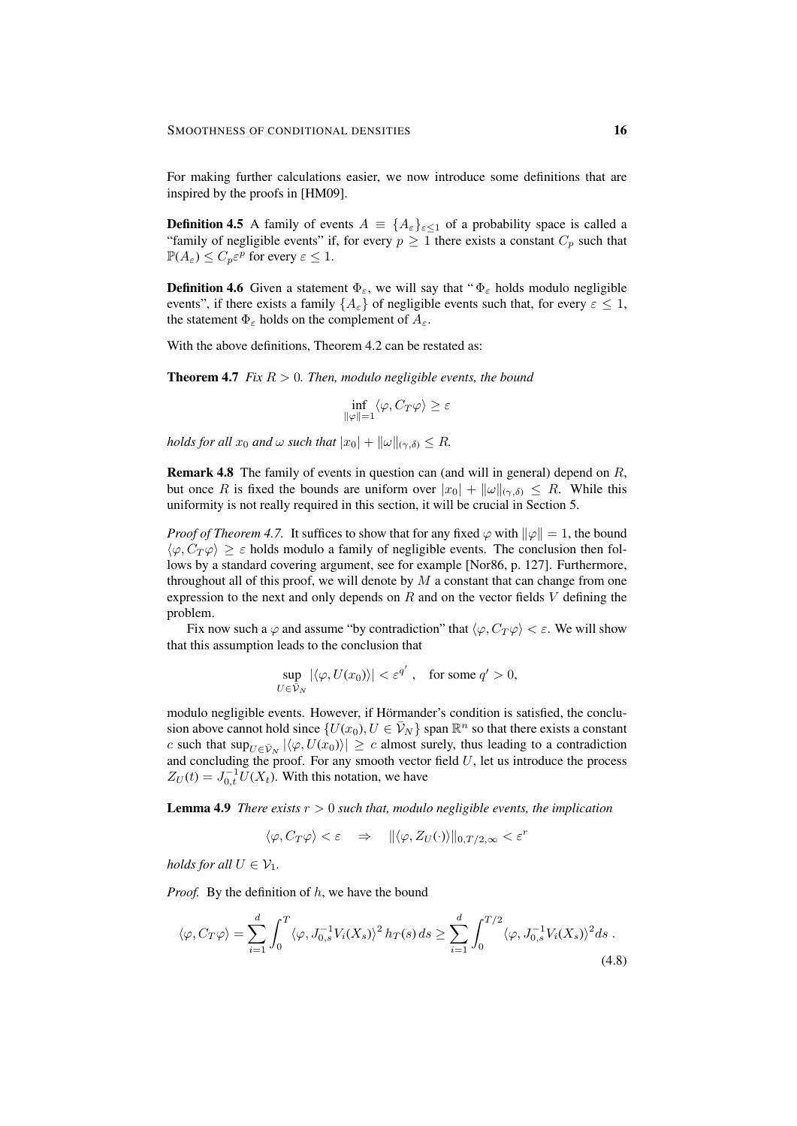For making further calculations easier, we now introduce some definitions that are inspired by the proofs in [HM09].

**Definition 4.5** A family of events  $A \equiv \{A_{\varepsilon}\}_{{\varepsilon} \le 1}$  of a probability space is called a "family of negligible events" if, for every  $p \geq 1$  there exists a constant  $C_p$  such that  $\mathbb{P}(A_{\varepsilon}) \leq C_p \varepsilon^p$  for every  $\varepsilon \leq 1$ .

**Definition 4.6** Given a statement  $\Phi_{\varepsilon}$ , we will say that " $\Phi_{\varepsilon}$  holds modulo negligible events", if there exists a family  $\{A_{\varepsilon}\}\$  of negligible events such that, for every  $\varepsilon \leq 1$ , the statement  $\Phi_{\varepsilon}$  holds on the complement of  $A_{\varepsilon}$ .

With the above definitions. Theorem 4.2 can be restated as:

**Theorem 4.7** *Fix*  $R > 0$ *. Then, modulo negligible events, the bound* 

$$
\inf_{\|\varphi\|=1} \langle \varphi, C_T \varphi \rangle \ge \varepsilon
$$

*holds for all*  $x_0$  *and*  $\omega$  *such that*  $|x_0| + ||\omega||_{(\gamma,\delta)} \leq R$ .

Remark 4.8 The family of events in question can (and will in general) depend on R, but once R is fixed the bounds are uniform over  $|x_0| + ||\omega||_{(\gamma,\delta)} \leq R$ . While this uniformity is not really required in this section, it will be crucial in Section 5.

*Proof of Theorem 4.7.* It suffices to show that for any fixed  $\varphi$  with  $\|\varphi\| = 1$ , the bound  $\langle \varphi, C_T \varphi \rangle \geq \varepsilon$  holds modulo a family of negligible events. The conclusion then follows by a standard covering argument, see for example [Nor86, p. 127]. Furthermore, throughout all of this proof, we will denote by  $M$  a constant that can change from one expression to the next and only depends on  $R$  and on the vector fields  $V$  defining the problem.

Fix now such a  $\varphi$  and assume "by contradiction" that  $\langle \varphi, C_T \varphi \rangle < \varepsilon$ . We will show that this assumption leads to the conclusion that

$$
\sup_{U \in \bar{\mathcal{V}}_N} |\langle \varphi, U(x_0) \rangle| < \varepsilon^{q'}, \quad \text{for some } q' > 0,
$$

modulo negligible events. However, if Hörmander's condition is satisfied, the conclusion above cannot hold since  $\{U(x_0), U \in \bar{\mathcal{V}}_N\}$  span  $\mathbb{R}^n$  so that there exists a constant c such that  $\sup_{U \in \bar{\mathcal{V}}_N} |\langle \varphi, U(x_0) \rangle| \geq c$  almost surely, thus leading to a contradiction and concluding the proof. For any smooth vector field  $U$ , let us introduce the process  $Z_U(t) = J_{0,t}^{-1} U(X_t)$ . With this notation, we have

**Lemma 4.9** *There exists*  $r > 0$  *such that, modulo negligible events, the implication* 

$$
\langle \varphi, C_T \varphi \rangle < \varepsilon \quad \Rightarrow \quad \| \langle \varphi, Z_U(\cdot) \rangle \|_{0,T/2,\infty} < \varepsilon^r
$$

*holds for all*  $U \in V_1$ *.* 

*Proof.* By the definition of h, we have the bound

$$
\langle \varphi, C_T \varphi \rangle = \sum_{i=1}^d \int_0^T \langle \varphi, J_{0,s}^{-1} V_i(X_s) \rangle^2 h_T(s) ds \ge \sum_{i=1}^d \int_0^{T/2} \langle \varphi, J_{0,s}^{-1} V_i(X_s) \rangle^2 ds \tag{4.8}
$$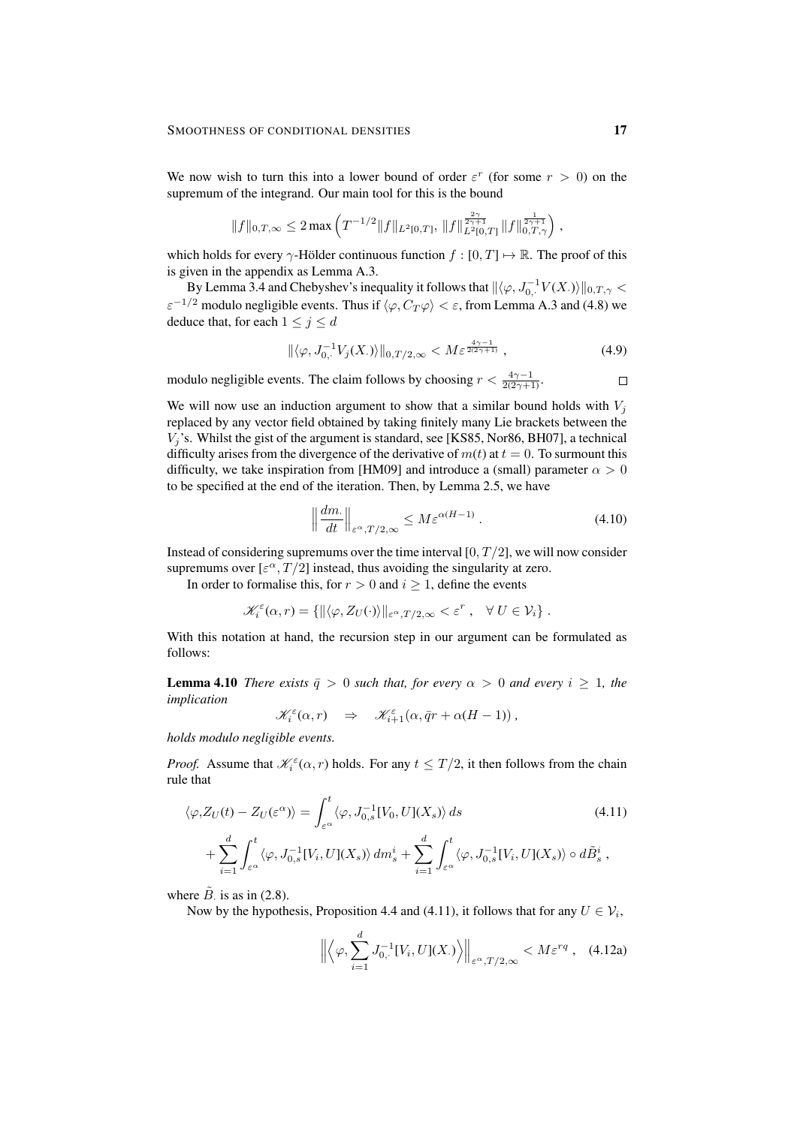We now wish to turn this into a lower bound of order  $\varepsilon^r$  (for some  $r > 0$ ) on the supremum of the integrand. Our main tool for this is the bound

$$
||f||_{0,T,\infty} \leq 2 \max \left( T^{-1/2} ||f||_{L^2[0,T]}, ||f||_{L^2[0,T]}^{\frac{2\gamma}{2\gamma+1}} ||f||_{0,T,\gamma}^{\frac{1}{2\gamma+1}} \right),
$$

which holds for every  $\gamma$ -Hölder continuous function  $f : [0, T] \rightarrow \mathbb{R}$ . The proof of this is given in the appendix as Lemma A.3.

By Lemma 3.4 and Chebyshev's inequality it follows that  $\| \langle \varphi, J_{0,\cdot}^{-1} V(X.)\|_{0,T,\gamma} <$  $\varepsilon^{-1/2}$  modulo negligible events. Thus if  $\langle \varphi, C_T \varphi \rangle < \varepsilon$ , from Lemma A.3 and (4.8) we deduce that, for each  $1 \leq j \leq d$ 

$$
\|\langle \varphi, J_{0, \cdot}^{-1} V_j(X.)\rangle\|_{0, T/2, \infty} < M \varepsilon^{\frac{4\gamma - 1}{2(2\gamma + 1)}}, \tag{4.9}
$$

modulo negligible events. The claim follows by choosing  $r < \frac{4\gamma - 1}{2(2\gamma + 1)}$ .  $\Box$ 

We will now use an induction argument to show that a similar bound holds with  $V_i$ replaced by any vector field obtained by taking finitely many Lie brackets between the  $V_i$ 's. Whilst the gist of the argument is standard, see [KS85, Nor86, BH07], a technical difficulty arises from the divergence of the derivative of  $m(t)$  at  $t = 0$ . To surmount this difficulty, we take inspiration from [HM09] and introduce a (small) parameter  $\alpha > 0$ to be specified at the end of the iteration. Then, by Lemma 2.5, we have

$$
\left\|\frac{dm}{dt}\right\|_{\varepsilon^{\alpha},T/2,\infty} \le M\varepsilon^{\alpha(H-1)}\,. \tag{4.10}
$$

Instead of considering supremums over the time interval  $[0, T/2]$ , we will now consider supremums over  $[\varepsilon^{\alpha}, T/2]$  instead, thus avoiding the singularity at zero.

In order to formalise this, for  $r > 0$  and  $i \ge 1$ , define the events

$$
\mathscr{K}_i^{\varepsilon}(\alpha,r) = \{ \|\langle \varphi, Z_U(\cdot)\rangle\|_{\varepsilon^{\alpha},T/2,\infty} < \varepsilon^r , \quad \forall U \in \mathcal{V}_i \} .
$$

With this notation at hand, the recursion step in our argument can be formulated as follows:

**Lemma 4.10** *There exists*  $\bar{q} > 0$  *such that, for every*  $\alpha > 0$  *and every*  $i \geq 1$ *, the implication*

$$
\mathscr{K}_i^{\varepsilon}(\alpha,r) \quad \Rightarrow \quad \mathscr{K}_{i+1}^{\varepsilon}(\alpha,\bar{q}r+\alpha(H-1)),
$$

*holds modulo negligible events.*

ε<sup>α</sup>

*Proof.* Assume that  $\mathcal{K}_{i}^{\epsilon}(\alpha, r)$  holds. For any  $t \leq T/2$ , it then follows from the chain rule that

$$
\langle \varphi, Z_U(t) - Z_U(\varepsilon^{\alpha}) \rangle = \int_{\varepsilon^{\alpha}}^t \langle \varphi, J_{0,s}^{-1}[V_0, U](X_s) \rangle ds
$$
\n
$$
+ \sum_{j}^d \int_{-\infty}^t \langle \varphi, J_{0,s}^{-1}[V_i, U](X_s) \rangle dm_s^i + \sum_{j}^d \int_{-\infty}^t \langle \varphi, J_{0,s}^{-1}[V_i, U](X_s) \rangle \circ d\tilde{B}_s^i,
$$
\n
$$
(4.11)
$$

 $i=1$ 

ε<sup>α</sup>

 $i=1$ where  $\tilde{B}$ . is as in (2.8).

Now by the hypothesis, Proposition 4.4 and (4.11), it follows that for any  $U \in \mathcal{V}_i$ ,

$$
\left\| \left\langle \varphi, \sum_{i=1}^d J_{0, \cdot}^{-1}[V_i, U](X.) \right\rangle \right\|_{\varepsilon^\alpha, T/2, \infty} < M \varepsilon^{rq} \,, \quad \text{(4.12a)}
$$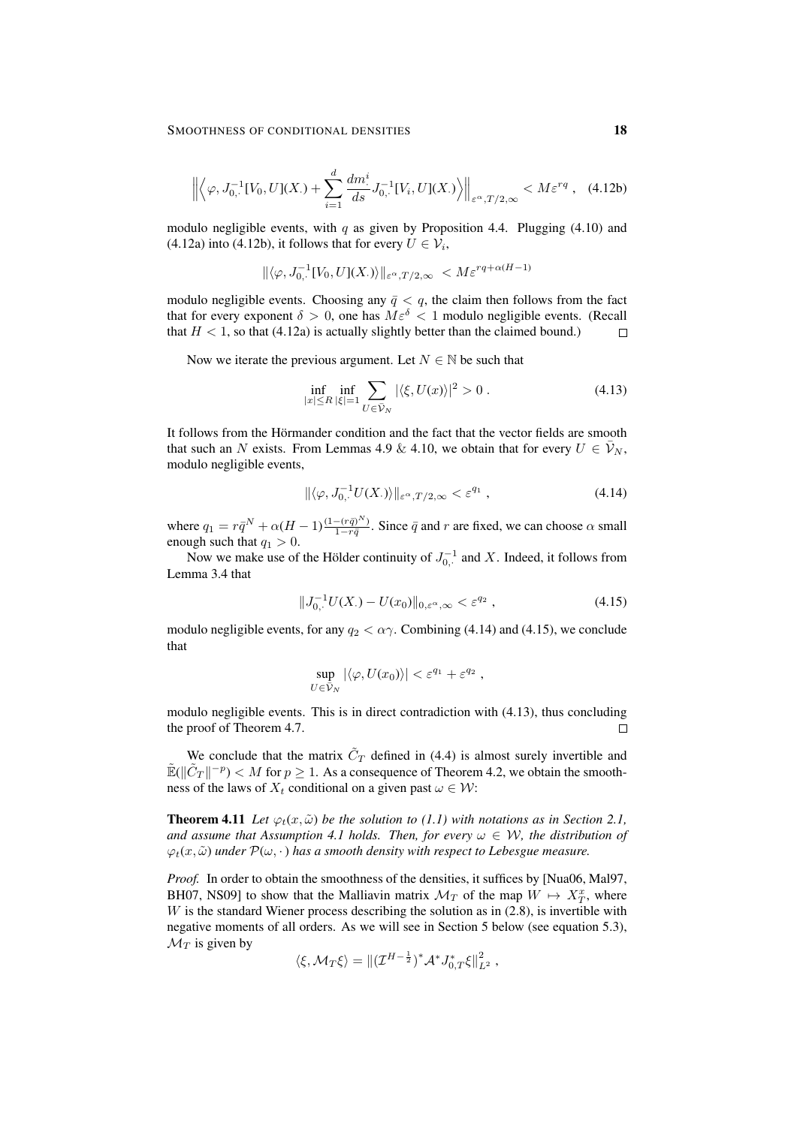$$
\left\| \left\langle \varphi, J_{0, \cdot}^{-1}[V_0, U](X.) + \sum_{i=1}^d \frac{dm_i^i}{ds} J_{0, \cdot}^{-1}[V_i, U](X.) \right\rangle \right\|_{\varepsilon^\alpha, T/2, \infty} < M \varepsilon^{rq} , \quad (4.12b)
$$

modulo negligible events, with q as given by Proposition 4.4. Plugging  $(4.10)$  and (4.12a) into (4.12b), it follows that for every  $U \in \mathcal{V}_i$ ,

$$
\|\langle \varphi, J_{0,\cdot}^{-1}[V_0, U](X.)\rangle\|_{\varepsilon^\alpha, T/2, \infty} \langle M\varepsilon^{rq+\alpha(H-1)}\rangle
$$

modulo negligible events. Choosing any  $\bar{q} < q$ , the claim then follows from the fact that for every exponent  $\delta > 0$ , one has  $M \epsilon^{\delta} < 1$  modulo negligible events. (Recall that  $H < 1$ , so that (4.12a) is actually slightly better than the claimed bound.)  $\Box$ 

Now we iterate the previous argument. Let  $N \in \mathbb{N}$  be such that

$$
\inf_{|x| \le R} \inf_{|\xi|=1} \sum_{U \in \bar{\mathcal{V}}_N} |\langle \xi, U(x) \rangle|^2 > 0.
$$
 (4.13)

It follows from the Hörmander condition and the fact that the vector fields are smooth that such an N exists. From Lemmas 4.9 & 4.10, we obtain that for every  $U \in \overline{\mathcal{V}}_N$ , modulo negligible events,

$$
\|\langle \varphi, J_{0,\cdot}^{-1} U(X.) \rangle\|_{\varepsilon^{\alpha}, T/2, \infty} < \varepsilon^{q_1} \tag{4.14}
$$

where  $q_1 = r\bar{q}^N + \alpha(H-1)\frac{(1-(r\bar{q})^N)}{1-r\bar{q}}$ . Since  $\bar{q}$  and r are fixed, we can choose  $\alpha$  small enough such that  $q_1 > 0$ .

Now we make use of the Hölder continuity of  $J_{0, \cdot}^{-1}$  and X. Indeed, it follows from Lemma 3.4 that

$$
||J_{0,\cdot}^{-1}U(X.) - U(x_0)||_{0,\varepsilon^{\alpha},\infty} < \varepsilon^{q_2} \,, \tag{4.15}
$$

modulo negligible events, for any  $q_2 < \alpha \gamma$ . Combining (4.14) and (4.15), we conclude that

$$
\sup_{U \in \bar{\mathcal{V}}_N} |\langle \varphi, U(x_0) \rangle| < \varepsilon^{q_1} + \varepsilon^{q_2} \;,
$$

modulo negligible events. This is in direct contradiction with (4.13), thus concluding the proof of Theorem 4.7.  $\Box$ 

We conclude that the matrix  $\tilde{C}_T$  defined in (4.4) is almost surely invertible and  $\mathbb{E}(\|\tilde{C}_T\|^{-p}) < M$  for  $p \ge 1$ . As a consequence of Theorem 4.2, we obtain the smoothness of the laws of  $X_t$  conditional on a given past  $\omega \in \mathcal{W}$ :

**Theorem 4.11** *Let*  $\varphi_t(x, \tilde{\omega})$  *be the solution to (1.1) with notations as in Section 2.1, and assume that Assumption 4.1 holds. Then, for every*  $\omega \in \mathcal{W}$ *, the distribution of*  $\varphi_t(x, \tilde{\omega})$  *under*  $\mathcal{P}(\omega, \cdot)$  *has a smooth density with respect to Lebesgue measure.* 

*Proof.* In order to obtain the smoothness of the densities, it suffices by [Nua06, Mal97, BH07, NS09] to show that the Malliavin matrix  $\mathcal{M}_T$  of the map  $W \mapsto X_T^x$ , where  $W$  is the standard Wiener process describing the solution as in  $(2.8)$ , is invertible with negative moments of all orders. As we will see in Section 5 below (see equation 5.3),  $\mathcal{M}_T$  is given by

$$
\langle \xi, \mathcal{M}_T \xi \rangle = \| (\mathcal{I}^{H - \frac{1}{2}})^* \mathcal{A}^* J_{0,T}^* \xi \|_{L^2}^2,
$$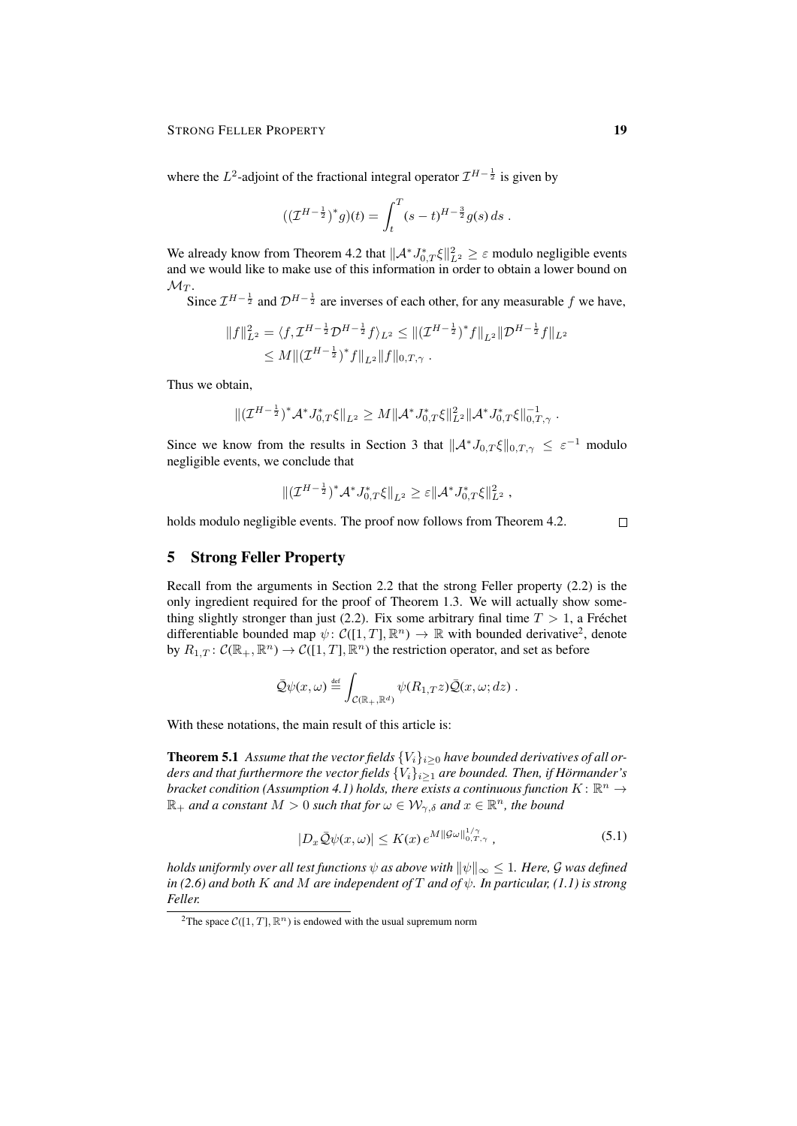where the L<sup>2</sup>-adjoint of the fractional integral operator  $\mathcal{I}^{H-\frac{1}{2}}$  is given by

$$
((\mathcal{I}^{H-\frac{1}{2}})^*g)(t) = \int_t^T (s-t)^{H-\frac{3}{2}}g(s)\,ds.
$$

We already know from Theorem 4.2 that  $||A^*J_{0,T}^*\xi||_{L^2}^2 \geq \varepsilon$  modulo negligible events and we would like to make use of this information in order to obtain a lower bound on  $\mathcal{M}_T$ .

Since  $\mathcal{I}^{H-\frac{1}{2}}$  and  $\mathcal{D}^{H-\frac{1}{2}}$  are inverses of each other, for any measurable f we have,

$$
||f||_{L^{2}}^{2} = \langle f, \mathcal{I}^{H-\frac{1}{2}} \mathcal{D}^{H-\frac{1}{2}} f \rangle_{L^{2}} \le ||(\mathcal{I}^{H-\frac{1}{2}})^{*} f||_{L^{2}} ||\mathcal{D}^{H-\frac{1}{2}} f||_{L^{2}} \le M ||(\mathcal{I}^{H-\frac{1}{2}})^{*} f||_{L^{2}} ||f||_{0,T,\gamma} .
$$

Thus we obtain,

$$
\|(\mathcal{I}^{H-\frac{1}{2}})^*\mathcal{A}^*J_{0,T}^*\xi\|_{L^2}\geq M\|\mathcal{A}^*J_{0,T}^*\xi\|_{L^2}^2\|\mathcal{A}^*J_{0,T}^*\xi\|_{0,T,\gamma}^{-1}.
$$

Since we know from the results in Section 3 that  $||A^*J_{0,T} \xi||_{0,T,\gamma} \leq \varepsilon^{-1}$  modulo negligible events, we conclude that

$$
\|(\mathcal{I}^{H-\frac{1}{2}})^*\mathcal{A}^*J_{0,T}^*\xi\|_{L^2}\geq \varepsilon \|\mathcal{A}^*J_{0,T}^*\xi\|_{L^2}^2,
$$

holds modulo negligible events. The proof now follows from Theorem 4.2.

 $\Box$ 

## 5 Strong Feller Property

Recall from the arguments in Section 2.2 that the strong Feller property (2.2) is the only ingredient required for the proof of Theorem 1.3. We will actually show something slightly stronger than just (2.2). Fix some arbitrary final time  $T > 1$ , a Fréchet differentiable bounded map  $\psi: C([1, T], \mathbb{R}^n) \to \mathbb{R}$  with bounded derivative<sup>2</sup>, denote by  $R_{1,T} : \mathcal{C}(\mathbb{R}_+, \mathbb{R}^n) \to \mathcal{C}([1,T], \mathbb{R}^n)$  the restriction operator, and set as before

$$
\bar{\mathcal{Q}}\psi(x,\omega) \stackrel{\text{def}}{=} \int_{\mathcal{C}(\mathbb{R}_+,\mathbb{R}^d)} \psi(R_{1,T}z) \bar{\mathcal{Q}}(x,\omega;dz) .
$$

With these notations, the main result of this article is:

**Theorem 5.1** Assume that the vector fields  $\{V_i\}_{i>0}$  have bounded derivatives of all or*ders and that furthermore the vector fields*  ${V_i}_{i>1}$ *are bounded. Then, if Hörmander's bracket condition (Assumption 4.1) holds, there exists a continuous function*  $K \colon \mathbb{R}^n \to$  $\mathbb{R}_+$  and a constant  $M > 0$  such that for  $\omega \in \mathcal{W}_{\gamma,\delta}$  and  $x \in \mathbb{R}^n$ , the bound

$$
|D_x \bar{\mathcal{Q}}\psi(x,\omega)| \le K(x) e^{M||\mathcal{G}\omega||_{0,T,\gamma}^{1/\gamma}}, \tag{5.1}
$$

*holds uniformly over all test functions*  $\psi$  *as above with*  $\|\psi\|_{\infty} \leq 1$ *. Here,*  $\mathcal G$  *was defined in (2.6) and both* K *and* M *are independent of* T *and of* ψ*. In particular, (1.1) is strong Feller.*

<sup>&</sup>lt;sup>2</sup>The space  $C([1, T], \mathbb{R}^n)$  is endowed with the usual supremum norm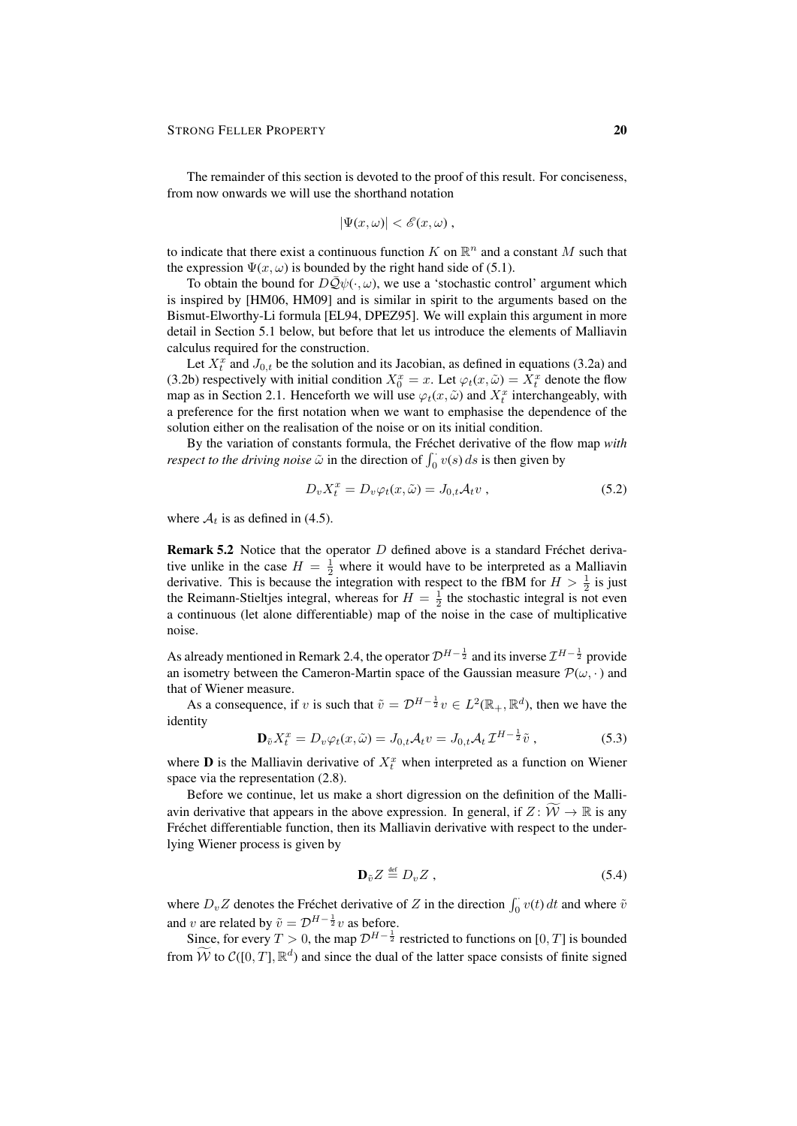The remainder of this section is devoted to the proof of this result. For conciseness, from now onwards we will use the shorthand notation

$$
|\Psi(x,\omega)| < \mathscr{E}(x,\omega) \,,
$$

to indicate that there exist a continuous function K on  $\mathbb{R}^n$  and a constant M such that the expression  $\Psi(x,\omega)$  is bounded by the right hand side of (5.1).

To obtain the bound for  $D\bar{Q}\psi(\cdot,\omega)$ , we use a 'stochastic control' argument which is inspired by [HM06, HM09] and is similar in spirit to the arguments based on the Bismut-Elworthy-Li formula [EL94, DPEZ95]. We will explain this argument in more detail in Section 5.1 below, but before that let us introduce the elements of Malliavin calculus required for the construction.

Let  $X_t^x$  and  $J_{0,t}$  be the solution and its Jacobian, as defined in equations (3.2a) and (3.2b) respectively with initial condition  $X_0^x = x$ . Let  $\varphi_t(x, \tilde{\omega}) = X_t^x$  denote the flow map as in Section 2.1. Henceforth we will use  $\varphi_t(x, \tilde{\omega})$  and  $X_t^x$  interchangeably, with a preference for the first notation when we want to emphasise the dependence of the solution either on the realisation of the noise or on its initial condition.

By the variation of constants formula, the Fréchet derivative of the flow map with *respect to the driving noise*  $\tilde{\omega}$  in the direction of  $\int_0^{\cdot} v(s) ds$  is then given by

$$
D_v X_t^x = D_v \varphi_t(x, \tilde{\omega}) = J_{0,t} \mathcal{A}_t v , \qquad (5.2)
$$

where  $A_t$  is as defined in (4.5).

**Remark 5.2** Notice that the operator  $D$  defined above is a standard Fréchet derivative unlike in the case  $H = \frac{1}{2}$  where it would have to be interpreted as a Malliavin derivative. This is because the integration with respect to the fBM for  $H > \frac{1}{2}$  is just the Reimann-Stieltjes integral, whereas for  $H = \frac{1}{2}$  the stochastic integral is not even a continuous (let alone differentiable) map of the noise in the case of multiplicative noise.

As already mentioned in Remark 2.4, the operator  $\mathcal{D}^{H-\frac{1}{2}}$  and its inverse  $\mathcal{I}^{H-\frac{1}{2}}$  provide an isometry between the Cameron-Martin space of the Gaussian measure  $\mathcal{P}(\omega, \cdot)$  and that of Wiener measure.

As a consequence, if v is such that  $\tilde{v} = \mathcal{D}^{H - \frac{1}{2}} v \in L^2(\mathbb{R}_+, \mathbb{R}^d)$ , then we have the identity

$$
\mathbf{D}_{\tilde{v}} X_t^x = D_v \varphi_t(x, \tilde{\omega}) = J_{0,t} \mathcal{A}_t v = J_{0,t} \mathcal{A}_t \mathcal{I}^{H - \frac{1}{2}} \tilde{v}, \qquad (5.3)
$$

where **D** is the Malliavin derivative of  $X_t^x$  when interpreted as a function on Wiener space via the representation  $(2.8)$ .

Before we continue, let us make a short digression on the definition of the Malliavin derivative that appears in the above expression. In general, if  $Z \colon \widetilde{W} \to \mathbb{R}$  is any Fréchet differentiable function, then its Malliavin derivative with respect to the underlying Wiener process is given by

$$
\mathbf{D}_{\tilde{v}}Z \stackrel{\text{def}}{=} D_vZ \;, \tag{5.4}
$$

where  $D_v Z$  denotes the Fréchet derivative of Z in the direction  $\int_0^{\cdot} v(t) dt$  and where  $\tilde{v}$ and v are related by  $\tilde{v} = \mathcal{D}^{H-\frac{1}{2}}v$  as before.

Since, for every  $T > 0$ , the map  $\mathcal{D}^{H-\frac{1}{2}}$  restricted to functions on [0, T] is bounded from  $\widetilde{W}$  to  $\mathcal{C}([0,T], \mathbb{R}^d)$  and since the dual of the latter space consists of finite signed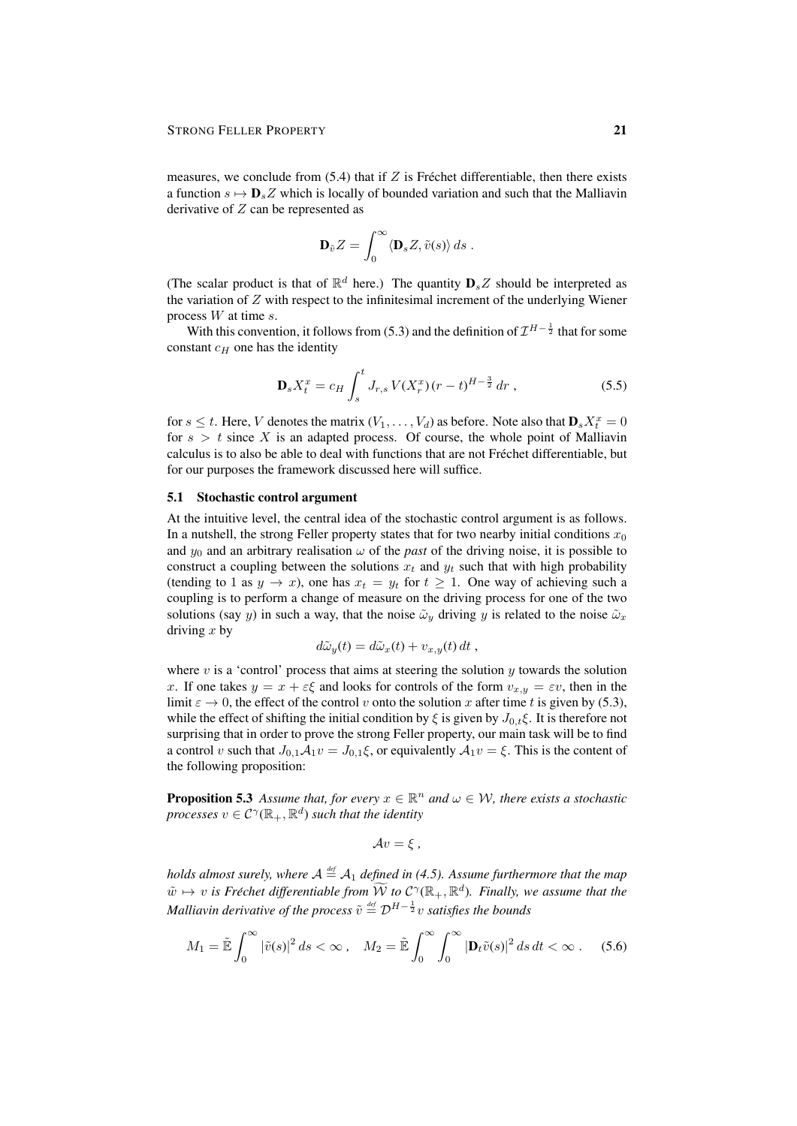measures, we conclude from (5.4) that if  $Z$  is Fréchet differentiable, then there exists a function  $s \mapsto \mathbf{D}_s Z$  which is locally of bounded variation and such that the Malliavin derivative of  $Z$  can be represented as

$$
\mathbf{D}_{\tilde{v}}Z = \int_0^\infty \langle \mathbf{D}_s Z, \tilde{v}(s) \rangle ds.
$$

(The scalar product is that of  $\mathbb{R}^d$  here.) The quantity  $\mathbf{D}_s Z$  should be interpreted as the variation of  $Z$  with respect to the infinitesimal increment of the underlying Wiener process W at time s.

With this convention, it follows from (5.3) and the definition of  $\mathcal{I}^{H-\frac{1}{2}}$  that for some constant  $c_H$  one has the identity

$$
\mathbf{D}_s X_t^x = c_H \int_s^t J_{r,s} V(X_r^x) (r-t)^{H-\frac{3}{2}} dr , \qquad (5.5)
$$

for  $s \leq t$ . Here, V denotes the matrix  $(V_1, \ldots, V_d)$  as before. Note also that  $\mathbf{D}_s X_t^x = 0$ for  $s > t$  since X is an adapted process. Of course, the whole point of Malliavin calculus is to also be able to deal with functions that are not Frechet differentiable, but ´ for our purposes the framework discussed here will suffice.

#### 5.1 Stochastic control argument

At the intuitive level, the central idea of the stochastic control argument is as follows. In a nutshell, the strong Feller property states that for two nearby initial conditions  $x_0$ and  $y_0$  and an arbitrary realisation  $\omega$  of the *past* of the driving noise, it is possible to construct a coupling between the solutions  $x_t$  and  $y_t$  such that with high probability (tending to 1 as  $y \to x$ ), one has  $x_t = y_t$  for  $t \ge 1$ . One way of achieving such a coupling is to perform a change of measure on the driving process for one of the two solutions (say y) in such a way, that the noise  $\tilde{\omega}_y$  driving y is related to the noise  $\tilde{\omega}_x$ driving  $x$  by

$$
d\tilde{\omega}_y(t) = d\tilde{\omega}_x(t) + v_{x,y}(t) dt,
$$

where  $v$  is a 'control' process that aims at steering the solution  $y$  towards the solution x. If one takes  $y = x + \varepsilon \xi$  and looks for controls of the form  $v_{x,y} = \varepsilon v$ , then in the limit  $\varepsilon \to 0$ , the effect of the control v onto the solution x after time t is given by (5.3), while the effect of shifting the initial condition by  $\xi$  is given by  $J_{0,t}\xi$ . It is therefore not surprising that in order to prove the strong Feller property, our main task will be to find a control v such that  $J_{0,1}A_1v = J_{0,1}\xi$ , or equivalently  $A_1v = \xi$ . This is the content of the following proposition:

**Proposition 5.3** Assume that, for every  $x \in \mathbb{R}^n$  and  $\omega \in \mathcal{W}$ , there exists a stochastic *processes*  $v \in C^{\gamma}(\mathbb{R}_{+}, \mathbb{R}^{d})$  *such that the identity* 

 $Av = \xi$ ,

holds almost surely, where  $\mathcal{A} \stackrel{\text{\tiny def}}{=} \mathcal{A}_1$  defined in (4.5). Assume furthermore that the map  $\tilde{w} \mapsto v$  *is Fréchet differentiable from*  $\widetilde{W}$  *to*  $C^{\gamma}(\mathbb{R}_+, \mathbb{R}^d)$ *. Finally, we assume that the Malliavin derivative of the process*  $\tilde{v} \stackrel{\text{\tiny def}}{=} \mathcal{D}^{H-\frac{1}{2}}v$  satisfies the bounds

$$
M_1 = \tilde{\mathbb{E}} \int_0^\infty |\tilde{v}(s)|^2 ds < \infty , \quad M_2 = \tilde{\mathbb{E}} \int_0^\infty \int_0^\infty |\mathbf{D}_t \tilde{v}(s)|^2 ds dt < \infty . \quad (5.6)
$$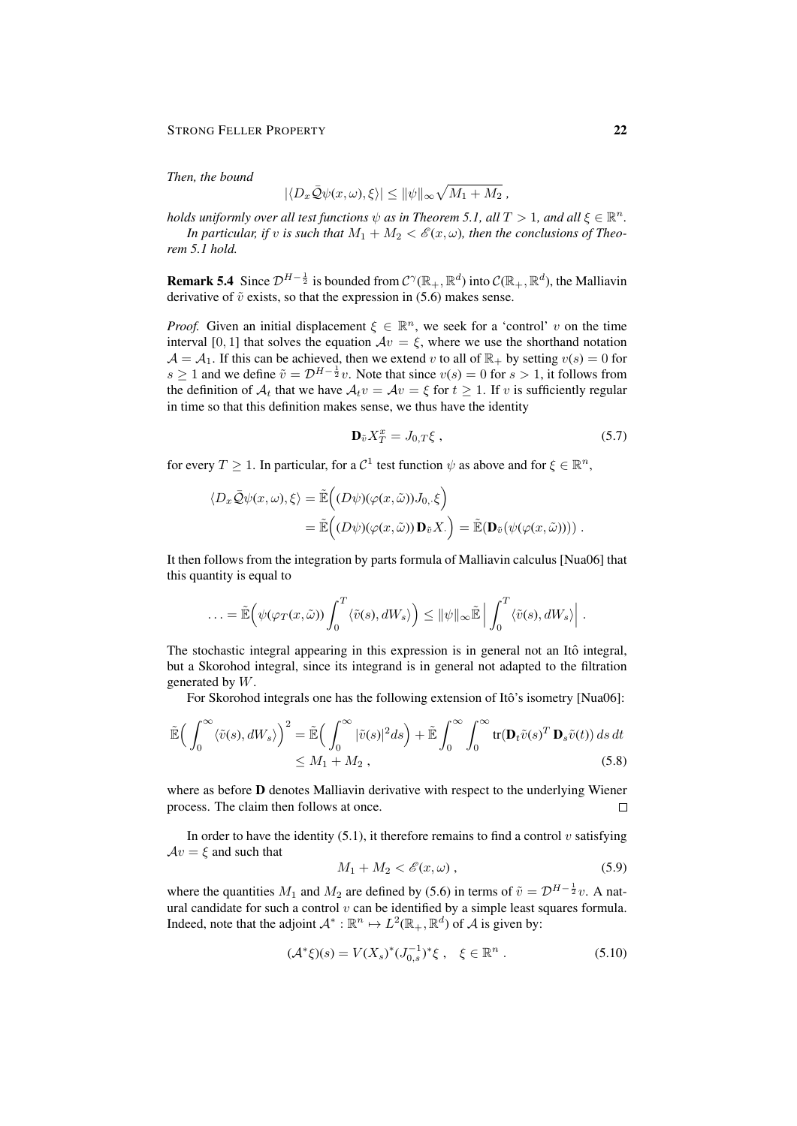*Then, the bound*

$$
|\langle D_x \overline{\mathcal{Q}} \psi(x,\omega),\xi\rangle| \leq ||\psi||_{\infty} \sqrt{M_1 + M_2} ,
$$

*holds uniformly over all test functions*  $\psi$  *as in Theorem 5.1, all*  $T > 1$ *, and all*  $\xi \in \mathbb{R}^n$ *. In particular, if* v *is such that*  $M_1 + M_2 < \mathcal{E}(x, \omega)$ , then the conclusions of Theo*rem 5.1 hold.*

**Remark 5.4** Since  $\mathcal{D}^{H-\frac{1}{2}}$  is bounded from  $\mathcal{C}^{\gamma}(\mathbb{R}_+,\mathbb{R}^d)$  into  $\mathcal{C}(\mathbb{R}_+,\mathbb{R}^d)$ , the Malliavin derivative of  $\tilde{v}$  exists, so that the expression in (5.6) makes sense.

*Proof.* Given an initial displacement  $\xi \in \mathbb{R}^n$ , we seek for a 'control' v on the time interval [0, 1] that solves the equation  $Av = \xi$ , where we use the shorthand notation  $A = A_1$ . If this can be achieved, then we extend v to all of  $\mathbb{R}_+$  by setting  $v(s) = 0$  for s ≥ 1 and we define  $\tilde{v} = D^{H-\frac{1}{2}}v$ . Note that since  $v(s) = 0$  for  $s > 1$ , it follows from the definition of  $A_t$  that we have  $A_t v = Av = \xi$  for  $t \ge 1$ . If v is sufficiently regular in time so that this definition makes sense, we thus have the identity

$$
\mathbf{D}_{\tilde{v}} X_T^x = J_{0,T} \xi \tag{5.7}
$$

for every  $T \geq 1$ . In particular, for a  $C^1$  test function  $\psi$  as above and for  $\xi \in \mathbb{R}^n$ ,

$$
\langle D_x \overline{Q} \psi(x,\omega), \xi \rangle = \tilde{\mathbb{E}} \Big( (D\psi)(\varphi(x,\tilde{\omega})) J_0, \xi \Big) = \tilde{\mathbb{E}} \Big( (D\psi)(\varphi(x,\tilde{\omega})) \mathbf{D}_{\tilde{v}} X. \Big) = \tilde{\mathbb{E}} \Big( \mathbf{D}_{\tilde{v}} \big( \psi(\varphi(x,\tilde{\omega})) \big) \Big) .
$$

It then follows from the integration by parts formula of Malliavin calculus [Nua06] that this quantity is equal to

$$
\ldots = \tilde{\mathbb{E}}\left(\psi(\varphi_T(x,\tilde{\omega}))\int_0^T \langle \tilde{v}(s),dW_s\rangle\right) \leq \|\psi\|_{\infty}\tilde{\mathbb{E}}\left|\int_0^T \langle \tilde{v}(s),dW_s\rangle\right|.
$$

The stochastic integral appearing in this expression is in general not an Itô integral, but a Skorohod integral, since its integrand is in general not adapted to the filtration generated by W.

For Skorohod integrals one has the following extension of Itô's isometry [Nua06]:

$$
\tilde{\mathbb{E}}\Big(\int_0^\infty \langle \tilde{v}(s), dW_s \rangle \Big)^2 = \tilde{\mathbb{E}}\Big(\int_0^\infty |\tilde{v}(s)|^2 ds\Big) + \tilde{\mathbb{E}}\int_0^\infty \int_0^\infty \text{tr}(\mathbf{D}_t \tilde{v}(s)^T \mathbf{D}_s \tilde{v}(t)) ds dt
$$
  
\n
$$
\leq M_1 + M_2 , \tag{5.8}
$$

where as before D denotes Malliavin derivative with respect to the underlying Wiener process. The claim then follows at once.  $\Box$ 

In order to have the identity  $(5.1)$ , it therefore remains to find a control v satisfying  $Av = \xi$  and such that

$$
M_1 + M_2 < \mathcal{E}(x, \omega) \tag{5.9}
$$

where the quantities  $M_1$  and  $M_2$  are defined by (5.6) in terms of  $\tilde{v} = \mathcal{D}^{H-\frac{1}{2}}v$ . A natural candidate for such a control  $v$  can be identified by a simple least squares formula. Indeed, note that the adjoint  $\mathcal{A}^* : \mathbb{R}^n \mapsto L^2(\mathbb{R}_+, \mathbb{R}^d)$  of  $\mathcal{A}$  is given by:

$$
(\mathcal{A}^*\xi)(s) = V(X_s)^* (J_{0,s}^{-1})^* \xi \ , \quad \xi \in \mathbb{R}^n \ . \tag{5.10}
$$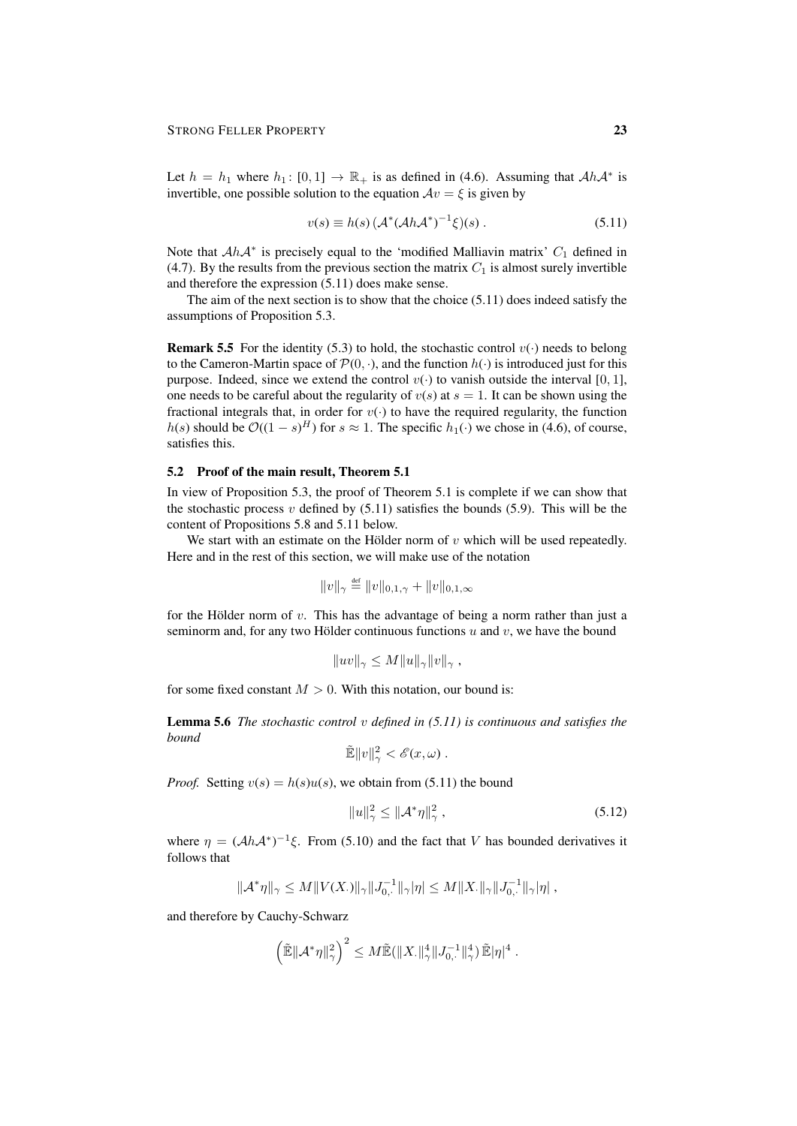Let  $h = h_1$  where  $h_1: [0, 1] \to \mathbb{R}_+$  is as defined in (4.6). Assuming that  $\mathcal{A}h\mathcal{A}^*$  is invertible, one possible solution to the equation  $Av = \xi$  is given by

$$
v(s) \equiv h(s) \left( \mathcal{A}^* (\mathcal{A} h \mathcal{A}^*)^{-1} \xi \right)(s) \,. \tag{5.11}
$$

Note that  $A h A^*$  is precisely equal to the 'modified Malliavin matrix'  $C_1$  defined in (4.7). By the results from the previous section the matrix  $C_1$  is almost surely invertible and therefore the expression (5.11) does make sense.

The aim of the next section is to show that the choice (5.11) does indeed satisfy the assumptions of Proposition 5.3.

**Remark 5.5** For the identity (5.3) to hold, the stochastic control  $v(\cdot)$  needs to belong to the Cameron-Martin space of  $\mathcal{P}(0, \cdot)$ , and the function  $h(\cdot)$  is introduced just for this purpose. Indeed, since we extend the control  $v(\cdot)$  to vanish outside the interval [0, 1], one needs to be careful about the regularity of  $v(s)$  at  $s = 1$ . It can be shown using the fractional integrals that, in order for  $v(\cdot)$  to have the required regularity, the function  $h(s)$  should be  $\mathcal{O}((1-s)^H)$  for  $s \approx 1$ . The specific  $h_1(\cdot)$  we chose in (4.6), of course, satisfies this.

#### 5.2 Proof of the main result, Theorem 5.1

In view of Proposition 5.3, the proof of Theorem 5.1 is complete if we can show that the stochastic process v defined by  $(5.11)$  satisfies the bounds  $(5.9)$ . This will be the content of Propositions 5.8 and 5.11 below.

We start with an estimate on the Hölder norm of  $v$  which will be used repeatedly. Here and in the rest of this section, we will make use of the notation

$$
||v||_{\gamma} \stackrel{\text{def}}{=} ||v||_{0,1,\gamma} + ||v||_{0,1,\infty}
$$

for the Hölder norm of  $v$ . This has the advantage of being a norm rather than just a seminorm and, for any two Hölder continuous functions  $u$  and  $v$ , we have the bound

$$
||uv||_{\gamma} \leq M||u||_{\gamma}||v||_{\gamma} ,
$$

for some fixed constant  $M > 0$ . With this notation, our bound is:

Lemma 5.6 *The stochastic control* v *defined in (5.11) is continuous and satisfies the bound*

$$
\tilde{\mathbb{E}}\|v\|_{\gamma}^2 < \mathscr{E}(x,\omega) .
$$

*Proof.* Setting  $v(s) = h(s)u(s)$ , we obtain from (5.11) the bound

$$
||u||_{\gamma}^{2} \le ||\mathcal{A}^*\eta||_{\gamma}^{2}, \qquad (5.12)
$$

where  $\eta = (AhA^*)^{-1}\xi$ . From (5.10) and the fact that V has bounded derivatives it follows that

$$
\|{\mathcal A}^*\eta\|_\gamma\leq M\|V(X_\cdot)\|_\gamma\|J_{0,\cdot}^{-1}\|_\gamma|\eta|\leq M\|X_\cdot\|_\gamma\|J_{0,\cdot}^{-1}\|_\gamma|\eta|\;,
$$

and therefore by Cauchy-Schwarz

$$
\left(\tilde{\mathbb{E}}\|\mathcal{A}^*\eta\|_{\gamma}^2\right)^2 \leq M\tilde{\mathbb{E}}(\|X_{\cdot}\|_{\gamma}^4\|J_{0,\cdot}^{-1}\|_{\gamma}^4)\,\tilde{\mathbb{E}}|\eta|^4\;.
$$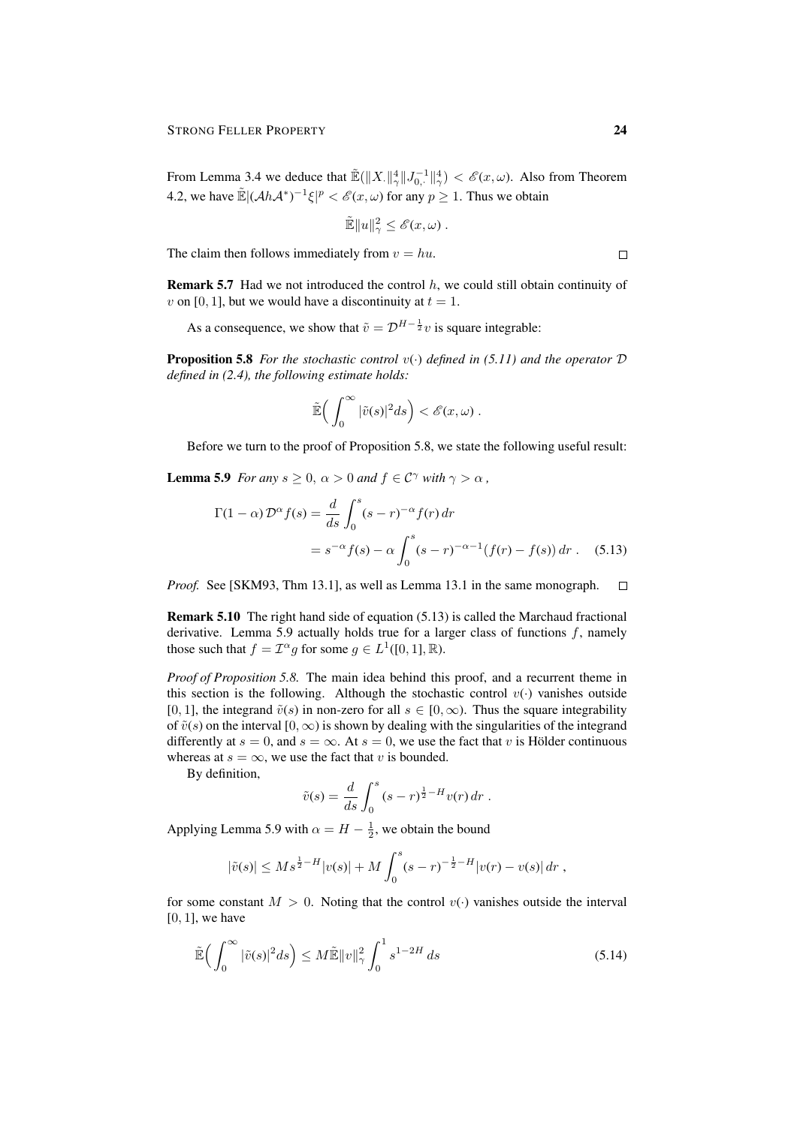From Lemma 3.4 we deduce that  $\tilde{\mathbb{E}}(\|X_t\|_{\gamma}^4 \|J_{0,t}^{-1}\|_{\gamma}^4) < \mathscr{E}(x,\omega)$ . Also from Theorem 4.2, we have  $\mathbb{E} |(\mathcal{A}h\mathcal{A}^*)^{-1}\xi|^p < \mathcal{E}(x,\omega)$  for any  $p \ge 1$ . Thus we obtain

$$
\widetilde{\mathbb{E}}\|u\|_{\gamma}^2 \leq \mathscr{E}(x,\omega) .
$$

The claim then follows immediately from  $v = hu$ .

**Remark 5.7** Had we not introduced the control  $h$ , we could still obtain continuity of v on [0, 1], but we would have a discontinuity at  $t = 1$ .

As a consequence, we show that  $\tilde{v} = \mathcal{D}^{H-\frac{1}{2}}v$  is square integrable:

Proposition 5.8 *For the stochastic control* v(·) *defined in (5.11) and the operator* D *defined in (2.4), the following estimate holds:*

$$
\widetilde{\mathbb{E}}\Big(\int_0^\infty |\widetilde{v}(s)|^2 ds\Big) < \mathscr{E}(x,\omega) .
$$

Before we turn to the proof of Proposition 5.8, we state the following useful result:

**Lemma 5.9** *For any*  $s \geq 0$ ,  $\alpha > 0$  *and*  $f \in C^{\gamma}$  *with*  $\gamma > \alpha$ ,

$$
\Gamma(1 - \alpha) \mathcal{D}^{\alpha} f(s) = \frac{d}{ds} \int_0^s (s - r)^{-\alpha} f(r) dr
$$
  
=  $s^{-\alpha} f(s) - \alpha \int_0^s (s - r)^{-\alpha - 1} (f(r) - f(s)) dr$ . (5.13)

*Proof.* See [SKM93, Thm 13.1], as well as Lemma 13.1 in the same monograph.  $\Box$ 

Remark 5.10 The right hand side of equation (5.13) is called the Marchaud fractional derivative. Lemma 5.9 actually holds true for a larger class of functions  $f$ , namely those such that  $f = \mathcal{I}^{\alpha} g$  for some  $g \in L^1([0, 1], \mathbb{R})$ .

*Proof of Proposition 5.8.* The main idea behind this proof, and a recurrent theme in this section is the following. Although the stochastic control  $v(\cdot)$  vanishes outside [0, 1], the integrand  $\tilde{v}(s)$  in non-zero for all  $s \in [0,\infty)$ . Thus the square integrability of  $\tilde{v}(s)$  on the interval  $[0, \infty)$  is shown by dealing with the singularities of the integrand differently at  $s = 0$ , and  $s = \infty$ . At  $s = 0$ , we use the fact that v is Hölder continuous whereas at  $s = \infty$ , we use the fact that v is bounded.

By definition,

$$
\tilde{v}(s) = \frac{d}{ds} \int_0^s (s - r)^{\frac{1}{2} - H} v(r) \, dr \; .
$$

Applying Lemma 5.9 with  $\alpha = H - \frac{1}{2}$ , we obtain the bound

$$
|\tilde{v}(s)| \le Ms^{\frac{1}{2}-H}|v(s)| + M \int_0^s (s-r)^{-\frac{1}{2}-H}|v(r)-v(s)| dr
$$
,

for some constant  $M > 0$ . Noting that the control  $v(\cdot)$  vanishes outside the interval  $[0, 1]$ , we have

$$
\tilde{\mathbb{E}}\Big(\int_0^\infty |\tilde{v}(s)|^2 ds\Big) \le M \tilde{\mathbb{E}}\|v\|_\gamma^2 \int_0^1 s^{1-2H} ds \tag{5.14}
$$

 $\Box$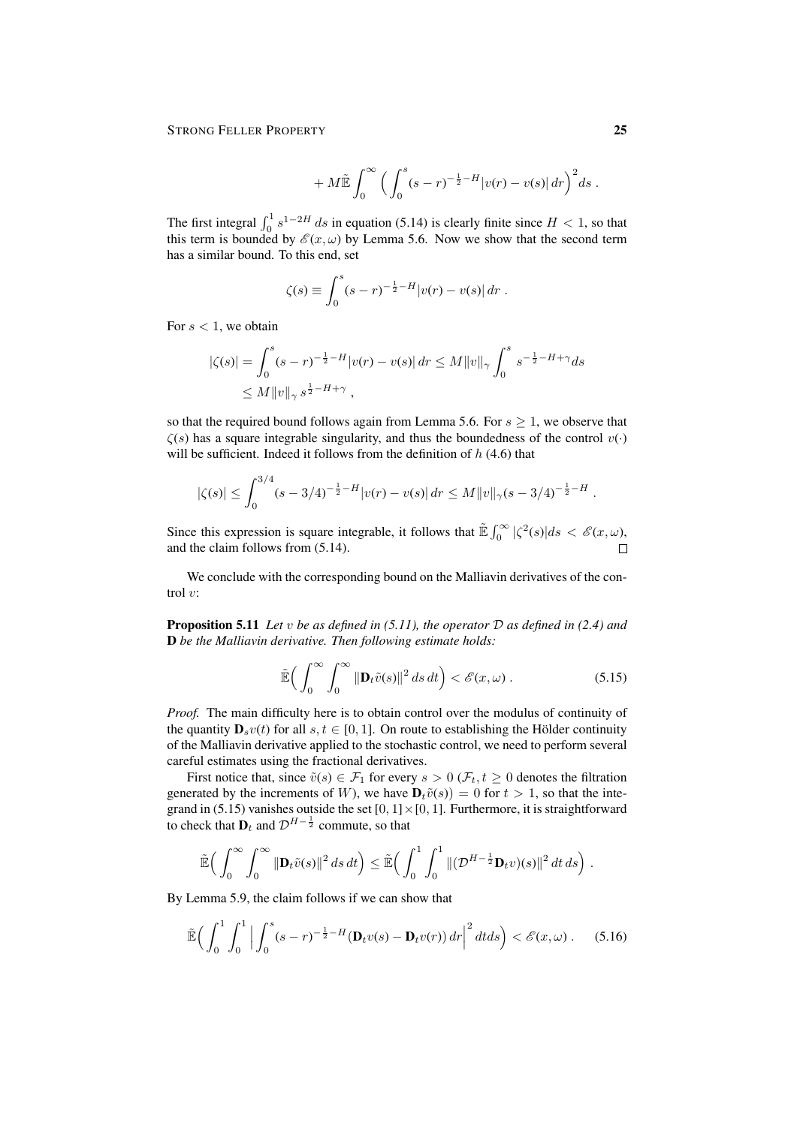$$
+ M\tilde{\mathbb{E}} \int_0^{\infty} \Big( \int_0^s (s-r)^{-\frac{1}{2}-H} |v(r) - v(s)| \, dr \Big)^2 ds \; .
$$

The first integral  $\int_0^1 s^{1-2H} ds$  in equation (5.14) is clearly finite since  $H < 1$ , so that this term is bounded by  $\mathscr{E}(x,\omega)$  by Lemma 5.6. Now we show that the second term has a similar bound. To this end, set

$$
\zeta(s) \equiv \int_0^s (s-r)^{-\frac{1}{2}-H} |v(r) - v(s)| \, dr \; .
$$

For  $s < 1$ , we obtain

$$
\begin{aligned} \left| \zeta(s) \right| &= \int_0^s (s-r)^{-\frac{1}{2}-H} |v(r) - v(s)| \, dr \le M \|v\|_{\gamma} \int_0^s s^{-\frac{1}{2}-H+\gamma} ds \\ &\le M \|v\|_{\gamma} \, s^{\frac{1}{2}-H+\gamma} \,, \end{aligned}
$$

so that the required bound follows again from Lemma 5.6. For  $s \geq 1$ , we observe that  $\zeta(s)$  has a square integrable singularity, and thus the boundedness of the control  $v(\cdot)$ will be sufficient. Indeed it follows from the definition of  $h(4.6)$  that

$$
|\zeta(s)| \le \int_0^{3/4} (s-3/4)^{-\frac{1}{2}-H} |v(r)-v(s)| \, dr \le M \|v\|_{\gamma} (s-3/4)^{-\frac{1}{2}-H} \, .
$$

Since this expression is square integrable, it follows that  $\mathbb{E} \int_0^\infty |\zeta^2(s)| ds < \mathcal{E}(x, \omega)$ , and the claim follows from (5.14).  $\Box$ 

We conclude with the corresponding bound on the Malliavin derivatives of the control v:

Proposition 5.11 *Let* v *be as defined in (5.11), the operator* D *as defined in (2.4) and* D *be the Malliavin derivative. Then following estimate holds:*

$$
\tilde{\mathbb{E}}\left(\int_0^\infty \int_0^\infty \|\mathbf{D}_t \tilde{v}(s)\|^2 ds dt\right) < \mathcal{E}(x,\omega).
$$
\n(5.15)

*Proof.* The main difficulty here is to obtain control over the modulus of continuity of the quantity  $\mathbf{D}_s v(t)$  for all  $s, t \in [0, 1]$ . On route to establishing the Hölder continuity of the Malliavin derivative applied to the stochastic control, we need to perform several careful estimates using the fractional derivatives.

First notice that, since  $\tilde{v}(s) \in \mathcal{F}_1$  for every  $s > 0$  ( $\mathcal{F}_t, t \geq 0$  denotes the filtration generated by the increments of W), we have  $\mathbf{D}_t \tilde{v}(s) = 0$  for  $t > 1$ , so that the integrand in (5.15) vanishes outside the set  $[0, 1] \times [0, 1]$ . Furthermore, it is straightforward to check that  $D_t$  and  $\mathcal{D}^{H-\frac{1}{2}}$  commute, so that

$$
\widetilde{\mathbb{E}}\Big(\int_0^\infty\int_0^\infty\|\mathbf{D}_t\widetilde{v}(s)\|^2\,ds\,dt\Big)\leq\widetilde{\mathbb{E}}\Big(\int_0^1\int_0^1\|(\mathcal{D}^{H-\frac{1}{2}}\mathbf{D}_tv)(s)\|^2\,dt\,ds\Big)\;.
$$

By Lemma 5.9, the claim follows if we can show that

$$
\tilde{\mathbb{E}}\Big(\int_0^1\int_0^1\Big|\int_0^s(s-r)^{-\frac{1}{2}-H}\big(\mathbf{D}_t v(s)-\mathbf{D}_t v(r)\big)\,dr\Big|^2\,dtds\Big)<\mathscr{E}(x,\omega)\,.\tag{5.16}
$$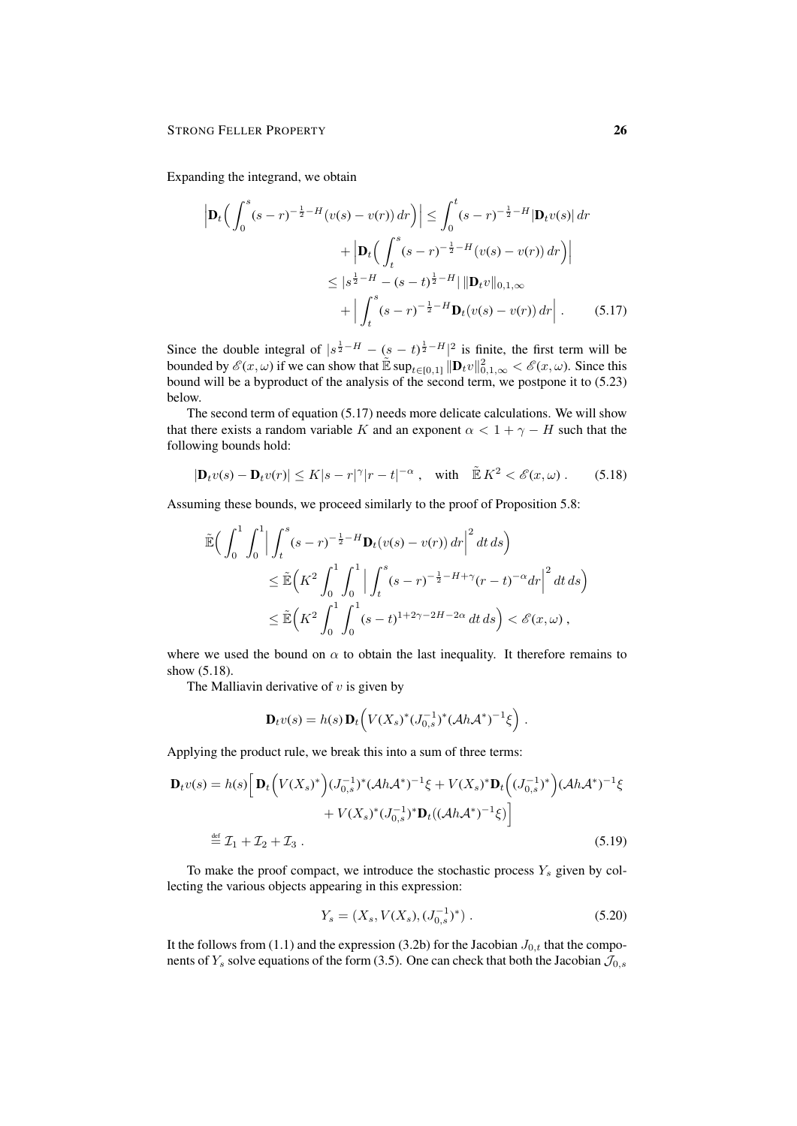Expanding the integrand, we obtain

$$
\left| \mathbf{D}_{t} \Big( \int_{0}^{s} (s-r)^{-\frac{1}{2}-H} (v(s) - v(r)) dr \Big) \right| \leq \int_{0}^{t} (s-r)^{-\frac{1}{2}-H} |\mathbf{D}_{t}v(s)| dr \n+ \left| \mathbf{D}_{t} \Big( \int_{t}^{s} (s-r)^{-\frac{1}{2}-H} (v(s) - v(r)) dr \Big) \right| \n\leq |s^{\frac{1}{2}-H} - (s-t)^{\frac{1}{2}-H} | \|\mathbf{D}_{t}v\|_{0,1,\infty} \n+ \left| \int_{t}^{s} (s-r)^{-\frac{1}{2}-H} \mathbf{D}_{t} (v(s) - v(r)) dr \right|.
$$
\n(5.17)

Since the double integral of  $|s^{\frac{1}{2}-H} - (s-t)^{\frac{1}{2}-H}|^2$  is finite, the first term will be bounded by  $\mathscr{E}(x,\omega)$  if we can show that  $\mathbb{\tilde{E}} \sup_{t \in [0,1]} \| \mathbf{D}_t v \|_{0,1,\infty}^2 < \mathscr{E}(x,\omega)$ . Since this bound will be a byproduct of the analysis of the second term, we postpone it to (5.23) below.

The second term of equation (5.17) needs more delicate calculations. We will show that there exists a random variable K and an exponent  $\alpha < 1 + \gamma - H$  such that the following bounds hold:

$$
|\mathbf{D}_t v(s) - \mathbf{D}_t v(r)| \le K|s - r|^{\gamma}|r - t|^{-\alpha}, \quad \text{with} \quad \tilde{\mathbb{E}} K^2 < \mathscr{E}(x, \omega). \tag{5.18}
$$

Assuming these bounds, we proceed similarly to the proof of Proposition 5.8:

$$
\tilde{\mathbb{E}}\Big(\int_0^1 \int_0^1 \left| \int_t^s (s-r)^{-\frac{1}{2}-H} \mathbf{D}_t(v(s) - v(r)) dr \right|^2 dt ds \Big) \n\leq \tilde{\mathbb{E}}\Big(K^2 \int_0^1 \int_0^1 \left| \int_t^s (s-r)^{-\frac{1}{2}-H+\gamma} (r-t)^{-\alpha} dr \right|^2 dt ds \Big) \n\leq \tilde{\mathbb{E}}\Big(K^2 \int_0^1 \int_0^1 (s-t)^{1+2\gamma-2H-2\alpha} dt ds \Big) < \mathcal{E}(x,\omega),
$$

where we used the bound on  $\alpha$  to obtain the last inequality. It therefore remains to show (5.18).

The Malliavin derivative of  $v$  is given by

$$
\mathbf{D}_t v(s) = h(s) \mathbf{D}_t \left( V(X_s)^* (J_{0,s}^{-1})^* (A h \mathcal{A}^*)^{-1} \xi \right).
$$

Applying the product rule, we break this into a sum of three terms:

$$
\mathbf{D}_{t}v(s) = h(s)\Big[\mathbf{D}_{t}\Big(V(X_{s})^{*}\Big)(J_{0,s}^{-1})^{*}(\mathcal{A}h\mathcal{A}^{*})^{-1}\xi + V(X_{s})^{*}\mathbf{D}_{t}\Big((J_{0,s}^{-1})^{*}\Big)(\mathcal{A}h\mathcal{A}^{*})^{-1}\xi
$$

$$
+ V(X_{s})^{*}(J_{0,s}^{-1})^{*}\mathbf{D}_{t}\big((\mathcal{A}h\mathcal{A}^{*})^{-1}\xi\big)\Big]
$$

$$
\stackrel{\text{def}}{=} \mathcal{I}_{1} + \mathcal{I}_{2} + \mathcal{I}_{3}.
$$
(5.19)

To make the proof compact, we introduce the stochastic process  $Y_s$  given by collecting the various objects appearing in this expression:

$$
Y_s = (X_s, V(X_s), (J_{0,s}^{-1})^*)
$$
 (5.20)

It the follows from (1.1) and the expression (3.2b) for the Jacobian  $J_{0,t}$  that the components of  $Y_s$  solve equations of the form (3.5). One can check that both the Jacobian  $\mathcal{J}_{0,s}$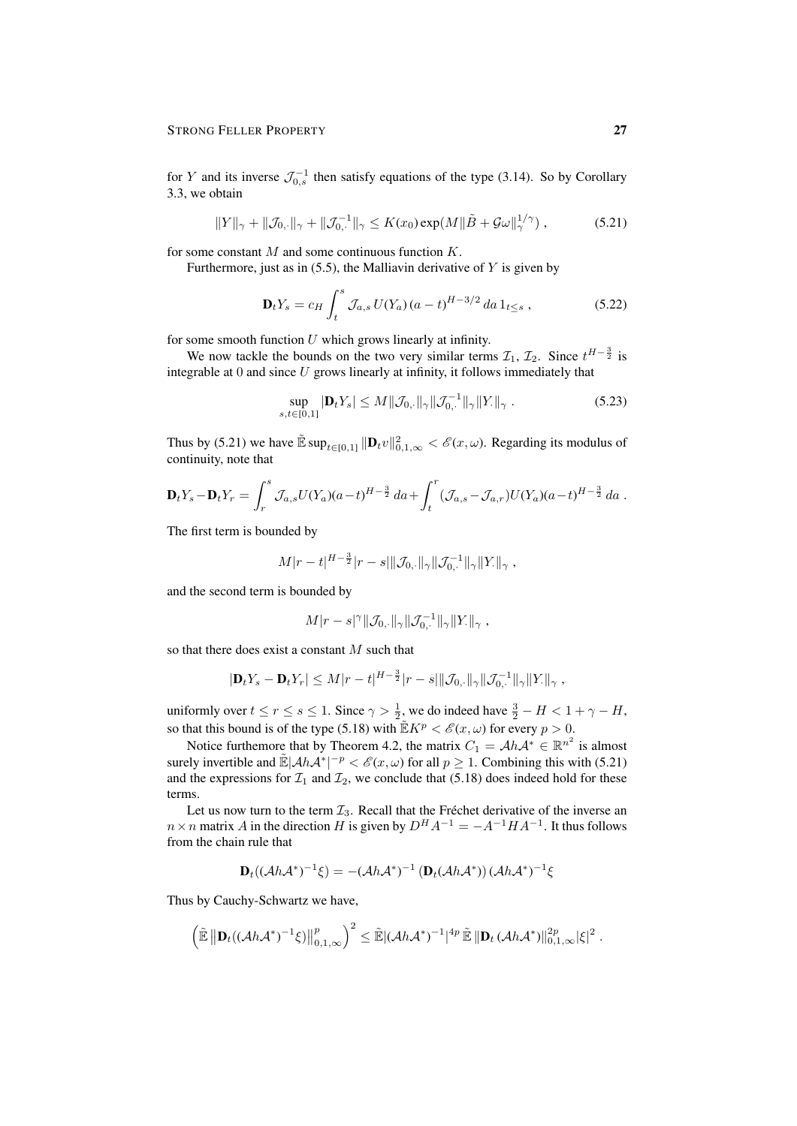for Y and its inverse  $\mathcal{J}_{0,s}^{-1}$  then satisfy equations of the type (3.14). So by Corollary 3.3, we obtain

$$
||Y||_{\gamma} + ||\mathcal{J}_{0,\cdot}||_{\gamma} + ||\mathcal{J}_{0,\cdot}^{-1}||_{\gamma} \leq K(x_0) \exp(M || \tilde{B} + \mathcal{G}\omega ||_{\gamma}^{1/\gamma}), \qquad (5.21)
$$

for some constant M and some continuous function K.

Furthermore, just as in  $(5.5)$ , the Malliavin derivative of Y is given by

$$
\mathbf{D}_t Y_s = c_H \int_t^s \mathcal{J}_{a,s} \, U(Y_a) \, (a-t)^{H-3/2} \, da \, 1_{t \le s} \,, \tag{5.22}
$$

for some smooth function  $U$  which grows linearly at infinity.

We now tackle the bounds on the two very similar terms  $\mathcal{I}_1$ ,  $\mathcal{I}_2$ . Since  $t^{H-\frac{3}{2}}$  is integrable at  $0$  and since  $U$  grows linearly at infinity, it follows immediately that

$$
\sup_{s,t\in[0,1]}|\mathbf{D}_tY_s| \le M \|\mathcal{J}_{0,\cdot}\|_{\gamma}\|\mathcal{J}_{0,\cdot}^{-1}\|_{\gamma}\|Y\|_{\gamma}.
$$
\n(5.23)

Thus by (5.21) we have  $\mathbb{\tilde{E}} \sup_{t \in [0,1]} \| \mathbf{D}_t v \|_{0,1,\infty}^2 < \mathscr{E}(x,\omega)$ . Regarding its modulus of continuity, note that

$$
\mathbf{D}_t Y_s - \mathbf{D}_t Y_r = \int_r^s \mathcal{J}_{a,s} U(Y_a) (a-t)^{H-\frac{3}{2}} da + \int_t^r (\mathcal{J}_{a,s} - \mathcal{J}_{a,r}) U(Y_a) (a-t)^{H-\frac{3}{2}} da.
$$

The first term is bounded by

$$
M|r-t|^{H-\frac{3}{2}}|r-s|\|\mathcal{J}_{0,\cdot}\|_{\gamma}\|\mathcal{J}_{0,\cdot}^{-1}\|_{\gamma}\|Y_{\cdot}\|_{\gamma}\;,
$$

and the second term is bounded by

$$
M|r - s|^{\gamma} \|\mathcal{J}_{0,\cdot}\|_{\gamma} \|\mathcal{J}_{0,\cdot}^{-1}\|_{\gamma} \|Y_{\cdot}\|_{\gamma} ,
$$

so that there does exist a constant M such that

$$
|\mathbf{D}_t Y_s - \mathbf{D}_t Y_r| \leq M |r - t|^{H - \frac{3}{2}} |r - s| \|\mathcal{J}_{0,\cdot}\|_{\gamma} \|\mathcal{J}_{0,\cdot}^{-1}\|_{\gamma} \|Y\|_{\gamma} ,
$$

uniformly over  $t \le r \le s \le 1$ . Since  $\gamma > \frac{1}{2}$ , we do indeed have  $\frac{3}{2} - H < 1 + \gamma - H$ , so that this bound is of the type (5.18) with  $\widetilde{\mathbb{E}}K^p < \mathscr{E}(x,\omega)$  for every  $p > 0$ .

Notice furthemore that by Theorem 4.2, the matrix  $C_1 = A h A^* \in \mathbb{R}^{n^2}$  is almost surely invertible and  $\mathbb{E}|\mathcal{A}h\mathcal{A}^*|^{-p} < \mathcal{E}(x,\omega)$  for all  $p \ge 1$ . Combining this with (5.21) and the expressions for  $\mathcal{I}_1$  and  $\mathcal{I}_2$ , we conclude that (5.18) does indeed hold for these terms.

Let us now turn to the term  $\mathcal{I}_3$ . Recall that the Fréchet derivative of the inverse an  $n \times n$  matrix A in the direction H is given by  $D^H A^{-1} = -A^{-1} H A^{-1}$ . It thus follows from the chain rule that

$$
\mathbf{D}_t((\mathcal{A}h\mathcal{A}^*)^{-1}\xi) = -(\mathcal{A}h\mathcal{A}^*)^{-1} \left( \mathbf{D}_t(\mathcal{A}h\mathcal{A}^*) \right) (\mathcal{A}h\mathcal{A}^*)^{-1}\xi
$$

Thus by Cauchy-Schwartz we have,

$$
\left(\tilde{\mathbb{E}}\left\|\mathbf{D}_t((\mathcal{A}h\mathcal{A}^*)^{-1}\xi)\right\|_{0,1,\infty}^p\right)^2 \leq \tilde{\mathbb{E}}|(\mathcal{A}h\mathcal{A}^*)^{-1}|^{4p}\tilde{\mathbb{E}}\left\|\mathbf{D}_t(\mathcal{A}h\mathcal{A}^*)\right\|_{0,1,\infty}^{2p}|\xi|^2.
$$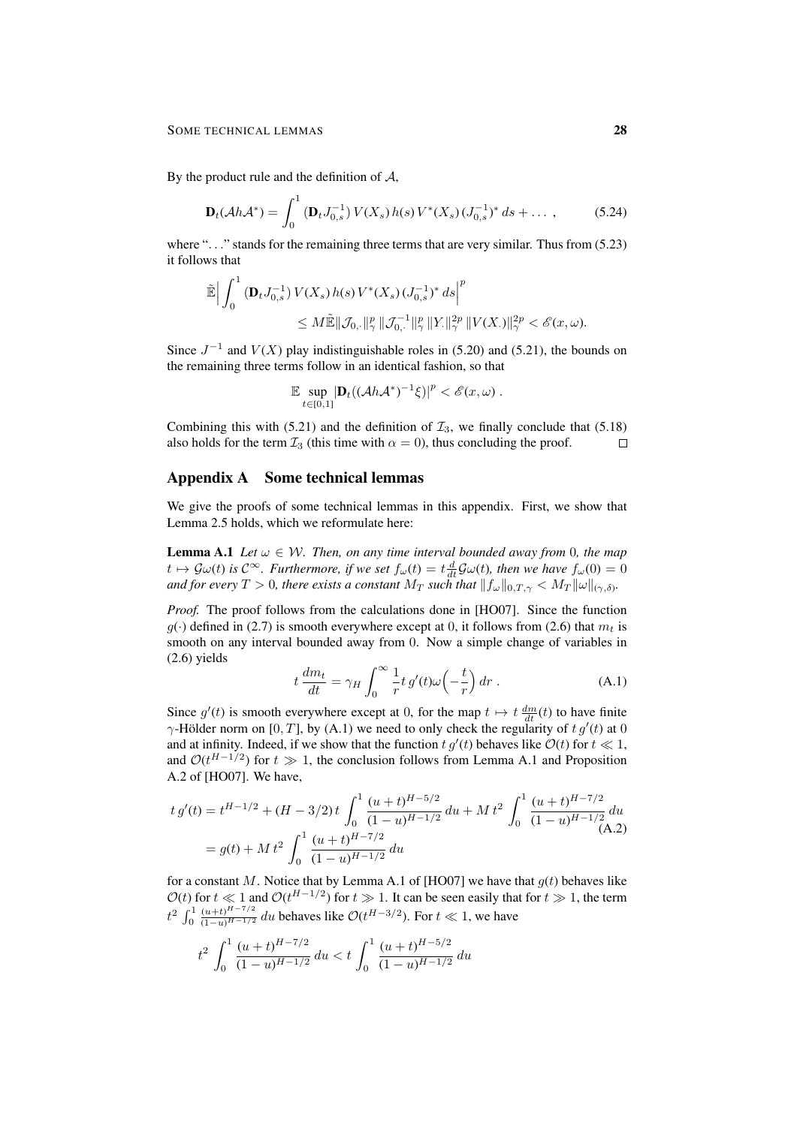By the product rule and the definition of  $A$ ,

$$
\mathbf{D}_t(\mathcal{A}h\mathcal{A}^*) = \int_0^1 (\mathbf{D}_t J_{0,s}^{-1}) V(X_s) h(s) V^*(X_s) (J_{0,s}^{-1})^* ds + \dots \,, \tag{5.24}
$$

where " $\ldots$ " stands for the remaining three terms that are very similar. Thus from (5.23) it follows that

$$
\tilde{\mathbb{E}} \Big| \int_0^1 (\mathbf{D}_t J_{0,s}^{-1}) V(X_s) h(s) V^*(X_s) (J_{0,s}^{-1})^* ds \Big|^p
$$
  

$$
\leq M \tilde{\mathbb{E}} \|\mathcal{J}_{0,\cdot}\|_{\gamma}^p \| \mathcal{J}_{0,\cdot}^{-1} \|_{\gamma}^p \|Y_{\cdot}\|_{\gamma}^{2p} \|V(X_{\cdot})\|_{\gamma}^{2p} < \mathscr{E}(x,\omega).
$$

Since  $J^{-1}$  and  $V(X)$  play indistinguishable roles in (5.20) and (5.21), the bounds on the remaining three terms follow in an identical fashion, so that

$$
\mathbb{E}\sup_{t\in[0,1]}\left|\mathbf{D}_t((\mathcal{A}h\mathcal{A}^*)^{-1}\xi)\right|^p<\mathscr{E}(x,\omega).
$$

Combining this with (5.21) and the definition of  $\mathcal{I}_3$ , we finally conclude that (5.18) also holds for the term  $\mathcal{I}_3$  (this time with  $\alpha = 0$ ), thus concluding the proof.  $\Box$ 

## Appendix A Some technical lemmas

We give the proofs of some technical lemmas in this appendix. First, we show that Lemma 2.5 holds, which we reformulate here:

**Lemma A.1** *Let*  $\omega \in \mathcal{W}$ *. Then, on any time interval bounded away from* 0*, the map*  $t \mapsto \mathcal{G}\omega(t)$  is  $\mathcal{C}^{\infty}$ *. Furthermore, if we set*  $f_{\omega}(t) = t \frac{d}{dt} \mathcal{G}\omega(t)$ *, then we have*  $f_{\omega}(0) = 0$ and for every  $T > 0$ , there exists a constant  $M_T$  such that  $||f_\omega||_{0,T,\gamma} < M_T ||\omega||_{(\gamma,\delta)}$ .

*Proof.* The proof follows from the calculations done in [HO07]. Since the function  $q(\cdot)$  defined in (2.7) is smooth everywhere except at 0, it follows from (2.6) that  $m_t$  is smooth on any interval bounded away from 0. Now a simple change of variables in (2.6) yields

$$
t\,\frac{dm_t}{dt} = \gamma_H \int_0^\infty \frac{1}{r} t\,g'(t)\omega\left(-\frac{t}{r}\right)dr\ .\tag{A.1}
$$

Since  $g'(t)$  is smooth everywhere except at 0, for the map  $t \mapsto t \frac{dm}{dt}(t)$  to have finite  $\gamma$ -Hölder norm on [0, T], by (A.1) we need to only check the regularity of  $t g'(t)$  at 0 and at infinity. Indeed, if we show that the function  $t g'(t)$  behaves like  $\mathcal{O}(t)$  for  $t \ll 1$ , and  $\mathcal{O}(t^{H-1/2})$  for  $t \gg 1$ , the conclusion follows from Lemma A.1 and Proposition A.2 of [HO07]. We have,

$$
t g'(t) = t^{H-1/2} + (H-3/2) t \int_0^1 \frac{(u+t)^{H-5/2}}{(1-u)^{H-1/2}} du + Mt^2 \int_0^1 \frac{(u+t)^{H-7/2}}{(1-u)^{H-1/2}} du
$$
  
=  $g(t) + Mt^2 \int_0^1 \frac{(u+t)^{H-7/2}}{(1-u)^{H-1/2}} du$  (A.2)

for a constant M. Notice that by Lemma A.1 of [HO07] we have that  $q(t)$  behaves like  $\mathcal{O}(t)$  for  $t \ll 1$  and  $\mathcal{O}(t^{H-1/2})$  for  $t \gg 1$ . It can be seen easily that for  $t \gg 1$ , the term  $t^2 \int_0^1 \frac{(u+t)^{H-7/2}}{(1-u)^{H-1/2}} du$  behaves like  $\mathcal{O}(t^{H-3/2})$ . For  $t \ll 1$ , we have

$$
t^{2} \int_{0}^{1} \frac{(u+t)^{H-7/2}}{(1-u)^{H-1/2}} du < t \int_{0}^{1} \frac{(u+t)^{H-5/2}}{(1-u)^{H-1/2}} du
$$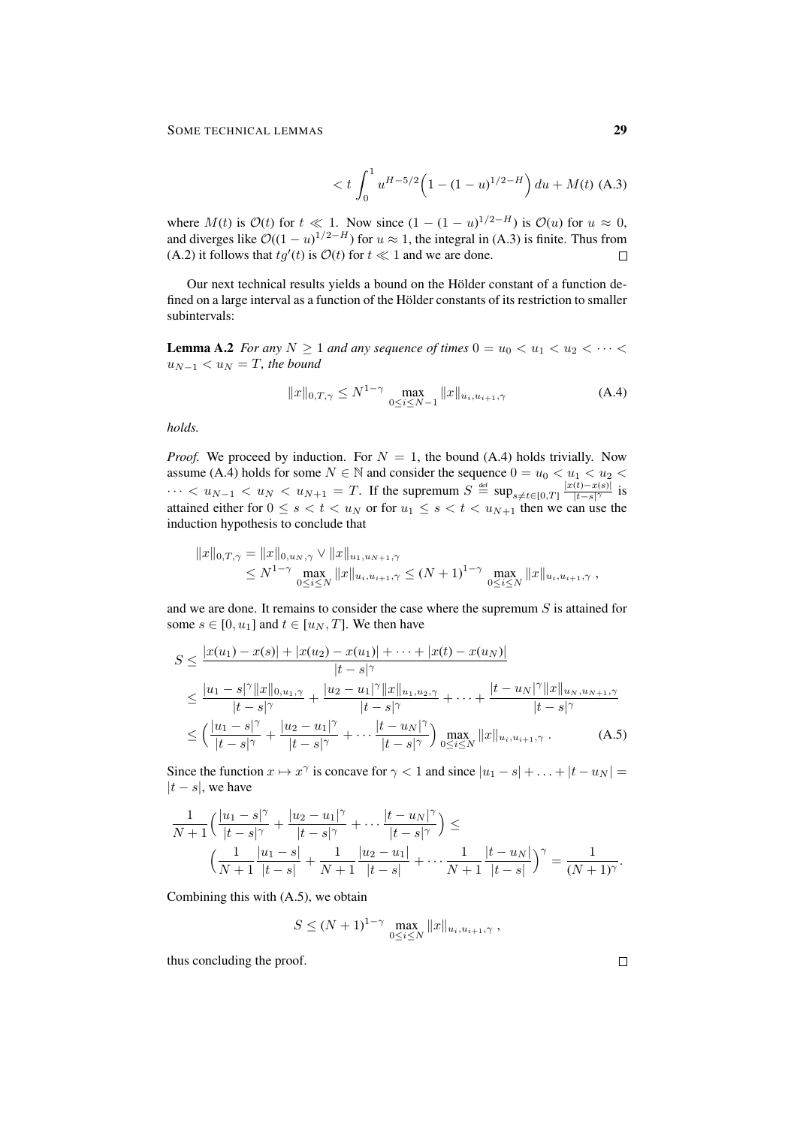$$
(A.3)
$$

where  $M(t)$  is  $\mathcal{O}(t)$  for  $t \ll 1$ . Now since  $(1 - (1 - u)^{1/2-H})$  is  $\mathcal{O}(u)$  for  $u \approx 0$ , and diverges like  $\mathcal{O}((1-u)^{1/2-H})$  for  $u \approx 1$ , the integral in (A.3) is finite. Thus from (A.2) it follows that  $tg'(t)$  is  $\mathcal{O}(t)$  for  $t \ll 1$  and we are done.  $\Box$ 

Our next technical results yields a bound on the Hölder constant of a function defined on a large interval as a function of the Hölder constants of its restriction to smaller subintervals:

**Lemma A.2** *For any*  $N \ge 1$  *and any sequence of times*  $0 = u_0 < u_1 < u_2 < \cdots <$  $u_{N-1} < u_N = T$ , the bound

$$
||x||_{0,T,\gamma} \le N^{1-\gamma} \max_{0 \le i \le N-1} ||x||_{u_i, u_{i+1}, \gamma}
$$
 (A.4)

*holds.*

*Proof.* We proceed by induction. For  $N = 1$ , the bound (A.4) holds trivially. Now assume (A.4) holds for some  $N \in \mathbb{N}$  and consider the sequence  $0 = u_0 < u_1 < u_2 <$  $\cdots < u_{N-1} < u_N < u_{N+1} = T$ . If the supremum  $S \stackrel{\text{def}}{=} \sup_{s \neq t \in [0,T]} \frac{|x(t) - x(s)|}{|t - s|^{\gamma}}$  $\frac{|(t)-x(s)|}{|t-s|^\gamma}$  is attained either for  $0 \le s < t < u_N$  or for  $u_1 \le s < t < u_{N+1}$  then we can use the induction hypothesis to conclude that

$$
||x||_{0,T,\gamma} = ||x||_{0,u_N,\gamma} \vee ||x||_{u_1,u_{N+1},\gamma}
$$
  
\n
$$
\leq N^{1-\gamma} \max_{0 \leq i \leq N} ||x||_{u_i,u_{i+1},\gamma} \leq (N+1)^{1-\gamma} \max_{0 \leq i \leq N} ||x||_{u_i,u_{i+1},\gamma},
$$

and we are done. It remains to consider the case where the supremum  $S$  is attained for some  $s \in [0, u_1]$  and  $t \in [u_N, T]$ . We then have

$$
S \leq \frac{|x(u_1) - x(s)| + |x(u_2) - x(u_1)| + \dots + |x(t) - x(u_N)|}{|t - s|^\gamma}
$$
  
\n
$$
\leq \frac{|u_1 - s|^\gamma ||x||_{0, u_1, \gamma}}{|t - s|^\gamma} + \frac{|u_2 - u_1|^\gamma ||x||_{u_1, u_2, \gamma}}{|t - s|^\gamma} + \dots + \frac{|t - u_N|^\gamma ||x||_{u_N, u_{N+1}, \gamma}}{|t - s|^\gamma}
$$
  
\n
$$
\leq \left(\frac{|u_1 - s|^\gamma}{|t - s|^\gamma} + \frac{|u_2 - u_1|^\gamma}{|t - s|^\gamma} + \dots + \frac{|t - u_N|^\gamma}{|t - s|^\gamma}\right) \max_{0 \leq i \leq N} ||x||_{u_i, u_{i+1}, \gamma} . \tag{A.5}
$$

Since the function  $x \mapsto x^{\gamma}$  is concave for  $\gamma < 1$  and since  $|u_1 - s| + \ldots + |t - u_N| =$  $|t - s|$ , we have

$$
\frac{1}{N+1} \Big( \frac{|u_1 - s|^\gamma}{|t - s|^\gamma} + \frac{|u_2 - u_1|^\gamma}{|t - s|^\gamma} + \dots + \frac{|t - u_N|^\gamma}{|t - s|^\gamma} \Big) \le
$$
\n
$$
\Big( \frac{1}{N+1} \frac{|u_1 - s|}{|t - s|} + \frac{1}{N+1} \frac{|u_2 - u_1|}{|t - s|} + \dots + \frac{1}{N+1} \frac{|t - u_N|}{|t - s|} \Big)^\gamma = \frac{1}{(N+1)^\gamma}.
$$

Combining this with (A.5), we obtain

$$
S \le (N+1)^{1-\gamma} \max_{0 \le i \le N} ||x||_{u_i, u_{i+1}, \gamma},
$$

thus concluding the proof.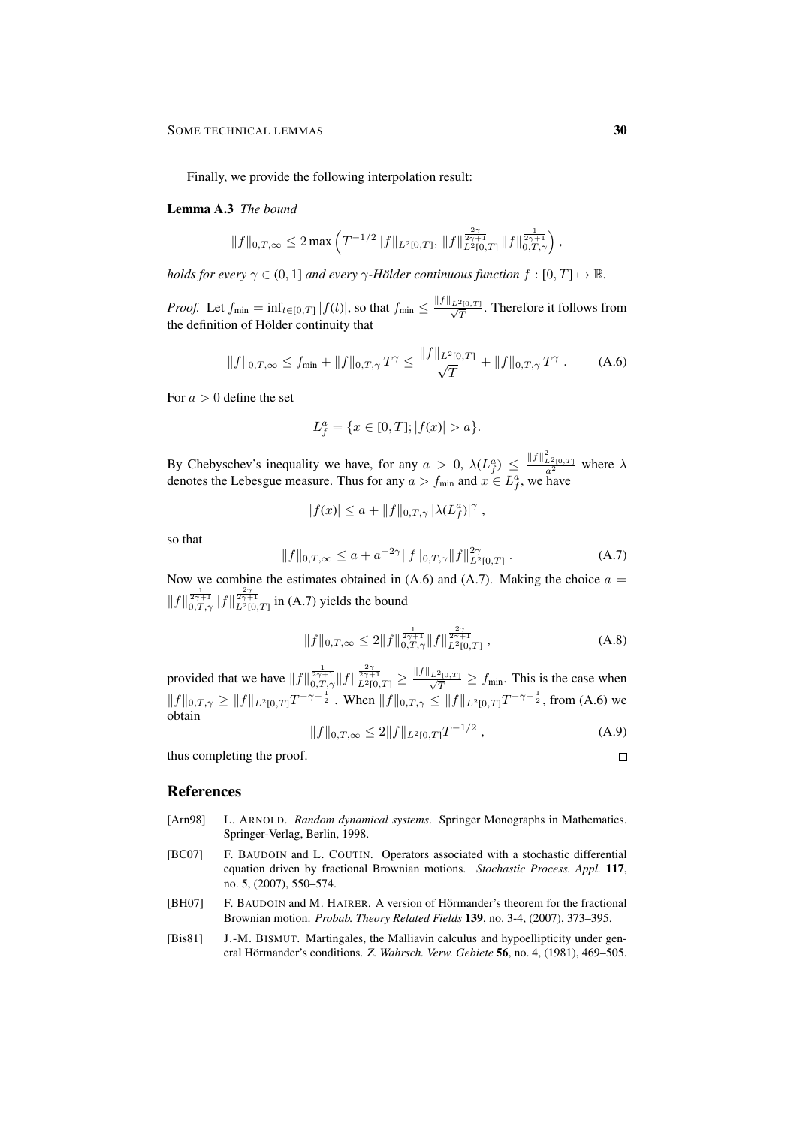Finally, we provide the following interpolation result:

#### Lemma A.3 *The bound*

$$
||f||_{0,T,\infty} \leq 2 \max \left( T^{-1/2} ||f||_{L^2[0,T]}, ||f||_{L^2[0,T]}^{\frac{2\gamma}{2\gamma+1}} ||f||_{0,T,\gamma}^{\frac{1}{2\gamma+1}} \right),
$$

*holds for every*  $\gamma \in (0, 1]$  *and every*  $\gamma$ -Hölder continuous function  $f : [0, T] \mapsto \mathbb{R}$ .

*Proof.* Let  $f_{\min} = \inf_{t \in [0,T]} |f(t)|$ , so that  $f_{\min} \le \frac{||f||_{L^2[0,T]}}{\sqrt{T}}$ . Therefore it follows from the definition of Hölder continuity that

$$
||f||_{0,T,\infty} \le f_{\min} + ||f||_{0,T,\gamma} T^{\gamma} \le \frac{||f||_{L^{2}[0,T]} }{\sqrt{T}} + ||f||_{0,T,\gamma} T^{\gamma} . \tag{A.6}
$$

For  $a > 0$  define the set

$$
L_f^a = \{ x \in [0, T]; |f(x)| > a \}.
$$

By Chebyschev's inequality we have, for any  $a > 0$ ,  $\lambda(L_f^a) \leq \frac{||f||_{L^2(0,T]}^2}{a^2}$  where  $\lambda$ denotes the Lebesgue measure. Thus for any  $a > f_{\min}$  and  $x \in L_f^a$ , we have

$$
|f(x)| \le a + ||f||_{0,T,\gamma} |\lambda(L_f^a)|^{\gamma},
$$

so that

$$
||f||_{0,T,\infty} \le a + a^{-2\gamma} ||f||_{0,T,\gamma} ||f||_{L^2[0,T]}^{2\gamma}.
$$
 (A.7)

Now we combine the estimates obtained in  $(A.6)$  and  $(A.7)$ . Making the choice  $a =$  $||f||_{0,T,\gamma}^{\frac{1}{2\gamma+1}}||f||_{L^{2}[0,T]}^{\frac{2\gamma}{2\gamma+1}}$  in (A.7) yields the bound

$$
||f||_{0,T,\infty} \le 2||f||_{0,T,\gamma}^{\frac{1}{2\gamma+1}}||f||_{L^{2}[0,T]}^{\frac{2\gamma}{2\gamma+1}}, \qquad (A.8)
$$

provided that we have  $||f||_{0,T,\gamma}^{\frac{1}{2\gamma+1}}||f||_{L^{2}[0,T]}^{\frac{2\gamma}{2\gamma+1}} \geq \frac{||f||_{L^{2}[0,T]}}{\sqrt{T}} \geq f_{\min}$ . This is the case when  $||f||_{0,T,\gamma} \ge ||f||_{L^2[0,T]}T^{-\gamma-\frac{1}{2}}$ . When  $||f||_{0,T,\gamma} \le ||f||_{L^2[0,T]}T^{-\gamma-\frac{1}{2}}$ , from (A.6) we obtain

$$
||f||_{0,T,\infty} \le 2||f||_{L^2[0,T]}T^{-1/2},
$$
\n(A.9)

thus completing the proof.

References

- [Arn98] L. ARNOLD. *Random dynamical systems*. Springer Monographs in Mathematics. Springer-Verlag, Berlin, 1998.
- [BC07] F. BAUDOIN and L. COUTIN. Operators associated with a stochastic differential equation driven by fractional Brownian motions. *Stochastic Process. Appl.* 117, no. 5, (2007), 550–574.
- [BH07] F. BAUDOIN and M. HAIRER. A version of Hörmander's theorem for the fractional Brownian motion. *Probab. Theory Related Fields* 139, no. 3-4, (2007), 373–395.
- [Bis81] J.-M. BISMUT. Martingales, the Malliavin calculus and hypoellipticity under general Hörmander's conditions. Z. Wahrsch. Verw. Gebiete 56, no. 4, (1981), 469-505.

 $\Box$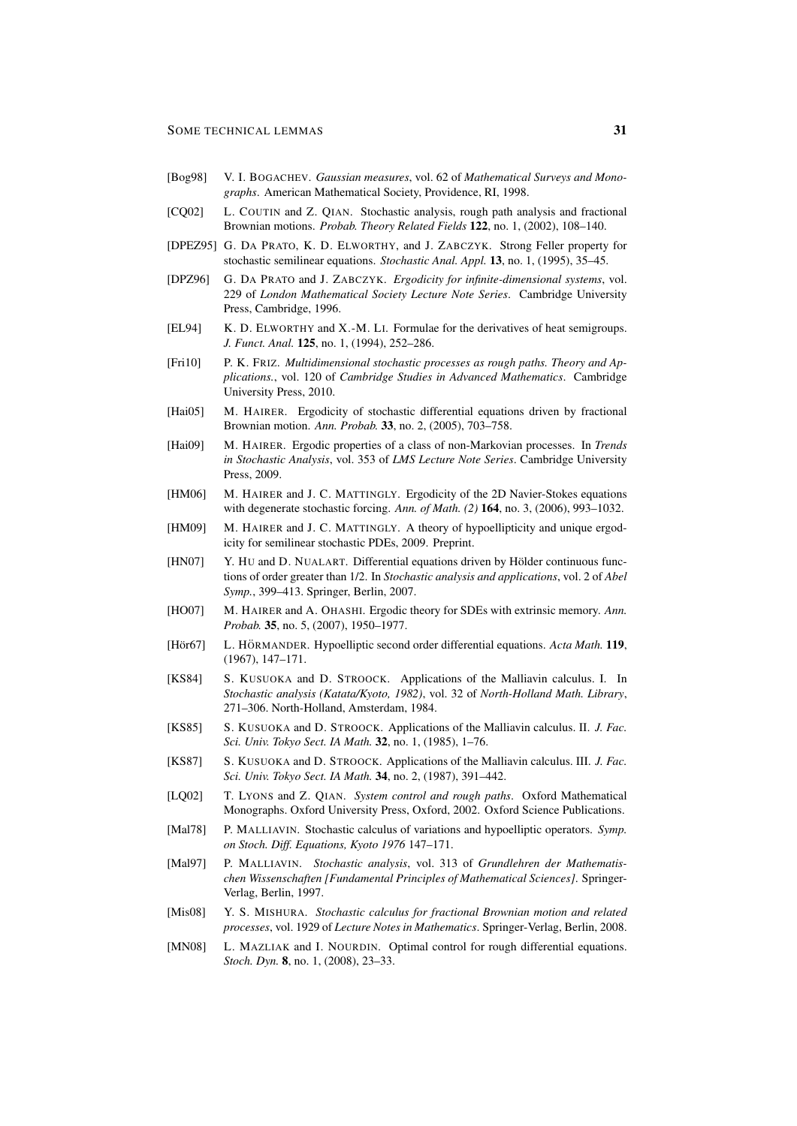- [Bog98] V. I. BOGACHEV. *Gaussian measures*, vol. 62 of *Mathematical Surveys and Monographs*. American Mathematical Society, Providence, RI, 1998.
- [CQ02] L. COUTIN and Z. QIAN. Stochastic analysis, rough path analysis and fractional Brownian motions. *Probab. Theory Related Fields* 122, no. 1, (2002), 108–140.
- [DPEZ95] G. DA PRATO, K. D. ELWORTHY, and J. ZABCZYK. Strong Feller property for stochastic semilinear equations. *Stochastic Anal. Appl.* 13, no. 1, (1995), 35–45.
- [DPZ96] G. DA PRATO and J. ZABCZYK. *Ergodicity for infinite-dimensional systems*, vol. 229 of *London Mathematical Society Lecture Note Series*. Cambridge University Press, Cambridge, 1996.
- [EL94] K. D. ELWORTHY and X.-M. LI. Formulae for the derivatives of heat semigroups. *J. Funct. Anal.* 125, no. 1, (1994), 252–286.
- [Fri10] P. K. FRIZ. *Multidimensional stochastic processes as rough paths. Theory and Applications.*, vol. 120 of *Cambridge Studies in Advanced Mathematics*. Cambridge University Press, 2010.
- [Hai05] M. HAIRER. Ergodicity of stochastic differential equations driven by fractional Brownian motion. *Ann. Probab.* 33, no. 2, (2005), 703–758.
- [Hai09] M. HAIRER. Ergodic properties of a class of non-Markovian processes. In *Trends in Stochastic Analysis*, vol. 353 of *LMS Lecture Note Series*. Cambridge University Press, 2009.
- [HM06] M. HAIRER and J. C. MATTINGLY. Ergodicity of the 2D Navier-Stokes equations with degenerate stochastic forcing. *Ann. of Math. (2)* 164, no. 3, (2006), 993–1032.
- [HM09] M. HAIRER and J. C. MATTINGLY. A theory of hypoellipticity and unique ergodicity for semilinear stochastic PDEs, 2009. Preprint.
- [HN07] Y. HU and D. NUALART. Differential equations driven by Hölder continuous functions of order greater than 1/2. In *Stochastic analysis and applications*, vol. 2 of *Abel Symp.*, 399–413. Springer, Berlin, 2007.
- [HO07] M. HAIRER and A. OHASHI. Ergodic theory for SDEs with extrinsic memory. *Ann. Probab.* 35, no. 5, (2007), 1950–1977.
- [Hör67] L. HÖRMANDER. Hypoelliptic second order differential equations. *Acta Math.* 119, (1967), 147–171.
- [KS84] S. KUSUOKA and D. STROOCK. Applications of the Malliavin calculus. I. In *Stochastic analysis (Katata/Kyoto, 1982)*, vol. 32 of *North-Holland Math. Library*, 271–306. North-Holland, Amsterdam, 1984.
- [KS85] S. KUSUOKA and D. STROOCK. Applications of the Malliavin calculus. II. *J. Fac. Sci. Univ. Tokyo Sect. IA Math.* 32, no. 1, (1985), 1–76.
- [KS87] S. KUSUOKA and D. STROOCK. Applications of the Malliavin calculus. III. *J. Fac. Sci. Univ. Tokyo Sect. IA Math.* 34, no. 2, (1987), 391–442.
- [LQ02] T. LYONS and Z. QIAN. *System control and rough paths*. Oxford Mathematical Monographs. Oxford University Press, Oxford, 2002. Oxford Science Publications.
- [Mal78] P. MALLIAVIN. Stochastic calculus of variations and hypoelliptic operators. *Symp. on Stoch. Diff. Equations, Kyoto 1976* 147–171.
- [Mal97] P. MALLIAVIN. *Stochastic analysis*, vol. 313 of *Grundlehren der Mathematischen Wissenschaften [Fundamental Principles of Mathematical Sciences]*. Springer-Verlag, Berlin, 1997.
- [Mis08] Y. S. MISHURA. *Stochastic calculus for fractional Brownian motion and related processes*, vol. 1929 of *Lecture Notes in Mathematics*. Springer-Verlag, Berlin, 2008.
- [MN08] L. MAZLIAK and I. NOURDIN. Optimal control for rough differential equations. *Stoch. Dyn.* 8, no. 1, (2008), 23–33.